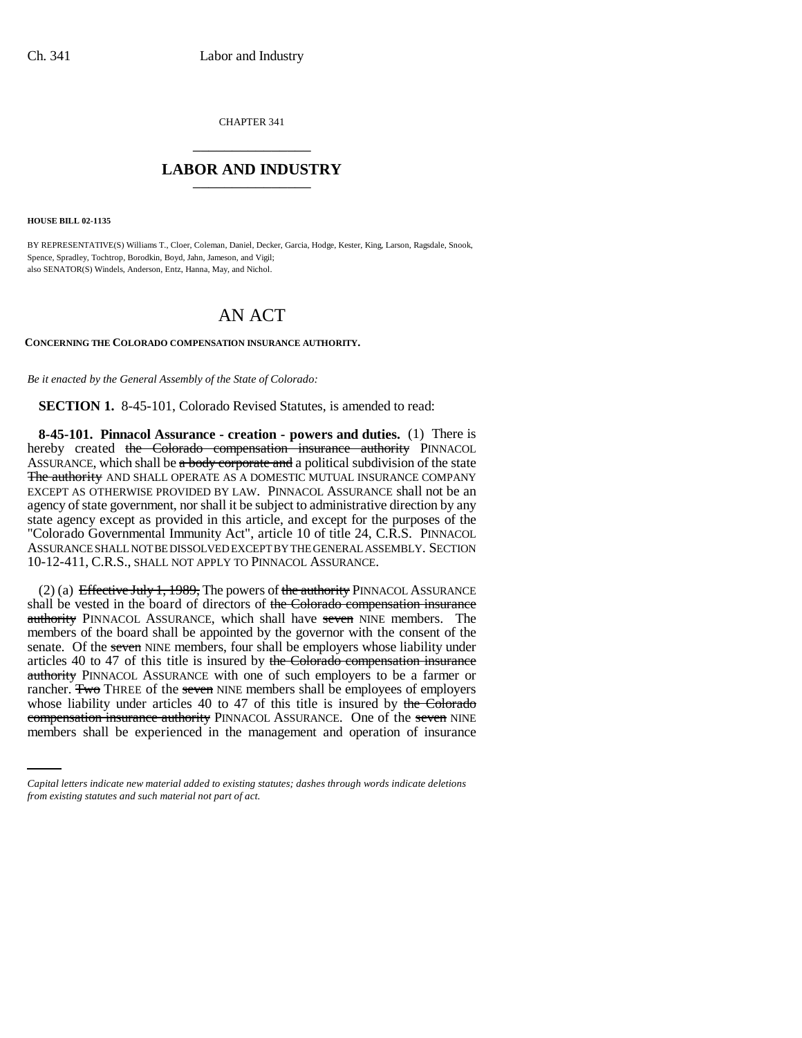CHAPTER 341 \_\_\_\_\_\_\_\_\_\_\_\_\_\_\_

## **LABOR AND INDUSTRY** \_\_\_\_\_\_\_\_\_\_\_\_\_\_\_

**HOUSE BILL 02-1135**

BY REPRESENTATIVE(S) Williams T., Cloer, Coleman, Daniel, Decker, Garcia, Hodge, Kester, King, Larson, Ragsdale, Snook, Spence, Spradley, Tochtrop, Borodkin, Boyd, Jahn, Jameson, and Vigil; also SENATOR(S) Windels, Anderson, Entz, Hanna, May, and Nichol.

# AN ACT

#### **CONCERNING THE COLORADO COMPENSATION INSURANCE AUTHORITY.**

*Be it enacted by the General Assembly of the State of Colorado:*

**SECTION 1.** 8-45-101, Colorado Revised Statutes, is amended to read:

**8-45-101. Pinnacol Assurance - creation - powers and duties.** (1) There is hereby created the Colorado compensation insurance authority PINNACOL ASSURANCE, which shall be  $\alpha$  body corporate and a political subdivision of the state The authority AND SHALL OPERATE AS A DOMESTIC MUTUAL INSURANCE COMPANY EXCEPT AS OTHERWISE PROVIDED BY LAW. PINNACOL ASSURANCE shall not be an agency of state government, nor shall it be subject to administrative direction by any state agency except as provided in this article, and except for the purposes of the "Colorado Governmental Immunity Act", article 10 of title 24, C.R.S. PINNACOL ASSURANCE SHALL NOT BE DISSOLVED EXCEPT BY THE GENERAL ASSEMBLY. SECTION 10-12-411, C.R.S., SHALL NOT APPLY TO PINNACOL ASSURANCE.

whose liability under articles 40 to 47 of this title is insured by the Colorado (2) (a) Effective July 1, 1989, The powers of the authority PINNACOL ASSURANCE shall be vested in the board of directors of the Colorado compensation insurance authority PINNACOL ASSURANCE, which shall have seven NINE members. The members of the board shall be appointed by the governor with the consent of the senate. Of the seven NINE members, four shall be employers whose liability under articles 40 to 47 of this title is insured by the Colorado compensation insurance authority PINNACOL ASSURANCE with one of such employers to be a farmer or rancher. Two THREE of the seven NINE members shall be employees of employers compensation insurance authority PINNACOL ASSURANCE. One of the seven NINE members shall be experienced in the management and operation of insurance

*Capital letters indicate new material added to existing statutes; dashes through words indicate deletions from existing statutes and such material not part of act.*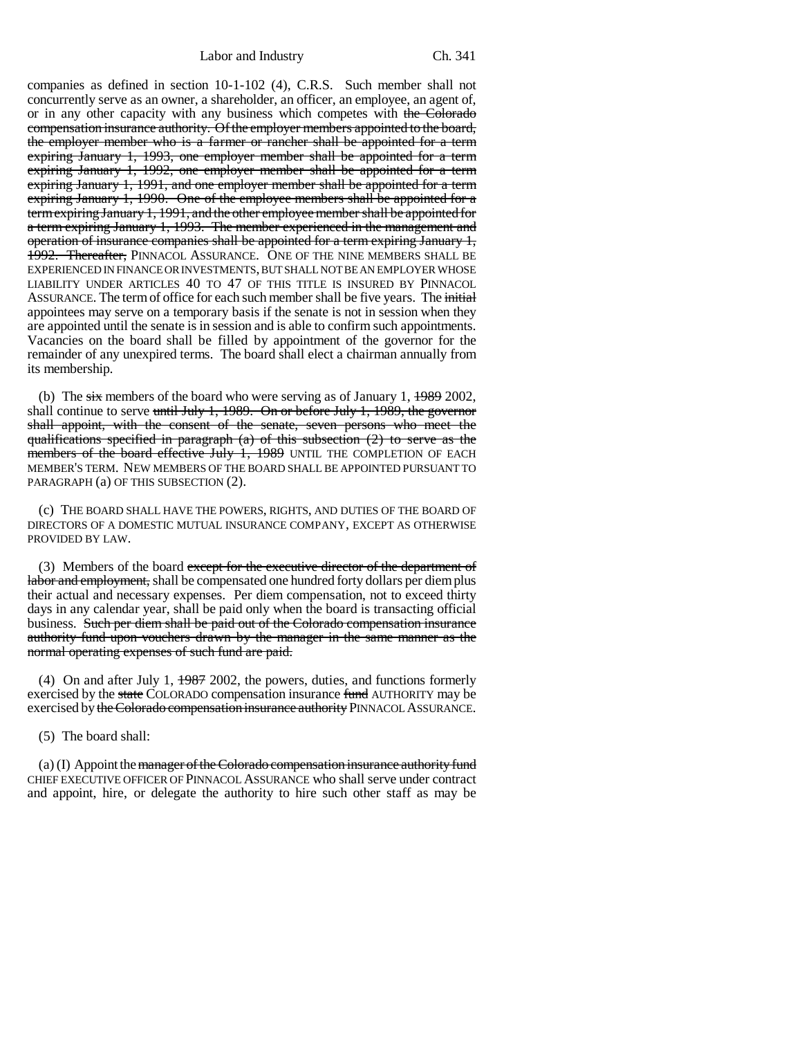companies as defined in section 10-1-102 (4), C.R.S. Such member shall not concurrently serve as an owner, a shareholder, an officer, an employee, an agent of, or in any other capacity with any business which competes with the Colorado compensation insurance authority. Of the employer members appointed to the board, the employer member who is a farmer or rancher shall be appointed for a term expiring January 1, 1993, one employer member shall be appointed for a term expiring January 1, 1992, one employer member shall be appointed for a term expiring January 1, 1991, and one employer member shall be appointed for a term expiring January 1, 1990. One of the employee members shall be appointed for a term expiring January 1, 1991, and the other employee member shall be appointed for a term expiring January 1, 1993. The member experienced in the management and operation of insurance companies shall be appointed for a term expiring January 1, 1992. Thereafter, PINNACOL ASSURANCE. ONE OF THE NINE MEMBERS SHALL BE EXPERIENCED IN FINANCE OR INVESTMENTS, BUT SHALL NOT BE AN EMPLOYER WHOSE LIABILITY UNDER ARTICLES 40 TO 47 OF THIS TITLE IS INSURED BY PINNACOL ASSURANCE. The term of office for each such member shall be five years. The initial appointees may serve on a temporary basis if the senate is not in session when they are appointed until the senate is in session and is able to confirm such appointments. Vacancies on the board shall be filled by appointment of the governor for the remainder of any unexpired terms. The board shall elect a chairman annually from its membership.

(b) The  $s\overline{t}x$  members of the board who were serving as of January 1,  $\overline{1989}$  2002, shall continue to serve until July 1, 1989. On or before July 1, 1989, the governor shall appoint, with the consent of the senate, seven persons who meet the qualifications specified in paragraph (a) of this subsection (2) to serve as the members of the board effective July 1, 1989 UNTIL THE COMPLETION OF EACH MEMBER'S TERM. NEW MEMBERS OF THE BOARD SHALL BE APPOINTED PURSUANT TO PARAGRAPH (a) OF THIS SUBSECTION (2).

(c) THE BOARD SHALL HAVE THE POWERS, RIGHTS, AND DUTIES OF THE BOARD OF DIRECTORS OF A DOMESTIC MUTUAL INSURANCE COMPANY, EXCEPT AS OTHERWISE PROVIDED BY LAW.

(3) Members of the board except for the executive director of the department of labor and employment, shall be compensated one hundred forty dollars per diem plus their actual and necessary expenses. Per diem compensation, not to exceed thirty days in any calendar year, shall be paid only when the board is transacting official business. Such per diem shall be paid out of the Colorado compensation insurance authority fund upon vouchers drawn by the manager in the same manner as the normal operating expenses of such fund are paid.

(4) On and after July 1, 1987 2002, the powers, duties, and functions formerly exercised by the state COLORADO compensation insurance fund AUTHORITY may be exercised by the Colorado compensation insurance authority PINNACOL ASSURANCE.

(5) The board shall:

 $(a)$  (I) Appoint the manager of the Colorado compensation insurance authority fund CHIEF EXECUTIVE OFFICER OF PINNACOL ASSURANCE who shall serve under contract and appoint, hire, or delegate the authority to hire such other staff as may be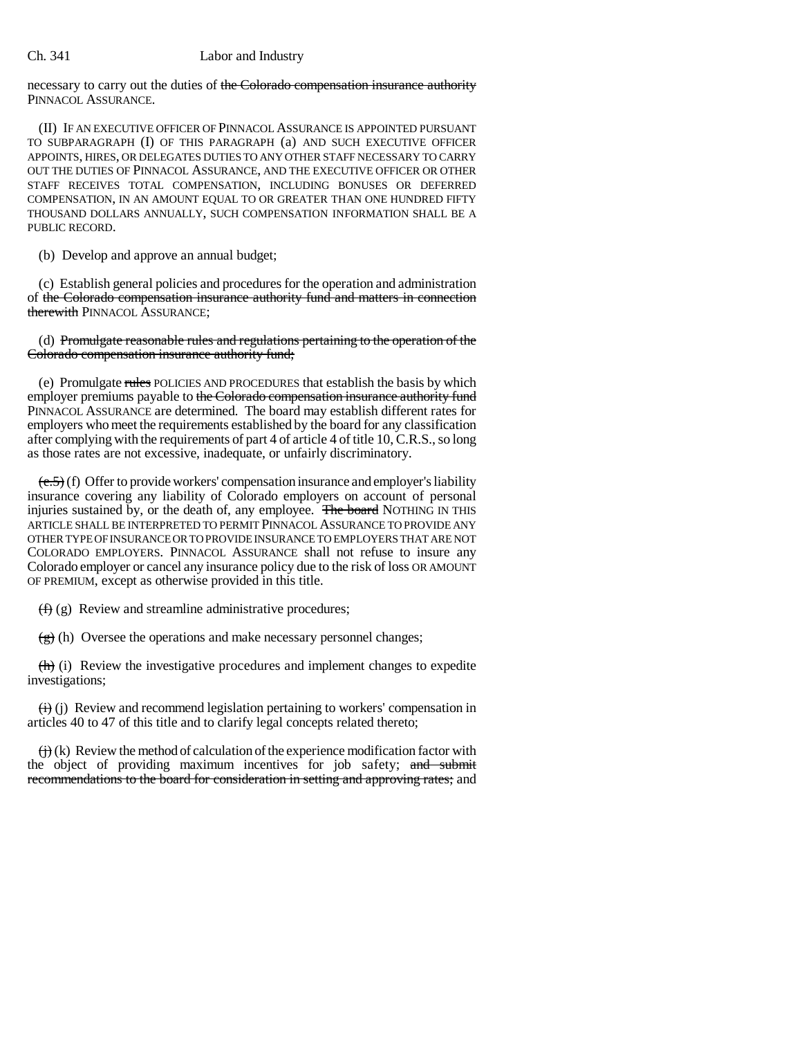necessary to carry out the duties of the Colorado compensation insurance authority PINNACOL ASSURANCE.

(II) IF AN EXECUTIVE OFFICER OF PINNACOL ASSURANCE IS APPOINTED PURSUANT TO SUBPARAGRAPH (I) OF THIS PARAGRAPH (a) AND SUCH EXECUTIVE OFFICER APPOINTS, HIRES, OR DELEGATES DUTIES TO ANY OTHER STAFF NECESSARY TO CARRY OUT THE DUTIES OF PINNACOL ASSURANCE, AND THE EXECUTIVE OFFICER OR OTHER STAFF RECEIVES TOTAL COMPENSATION, INCLUDING BONUSES OR DEFERRED COMPENSATION, IN AN AMOUNT EQUAL TO OR GREATER THAN ONE HUNDRED FIFTY THOUSAND DOLLARS ANNUALLY, SUCH COMPENSATION INFORMATION SHALL BE A PUBLIC RECORD.

(b) Develop and approve an annual budget;

(c) Establish general policies and procedures for the operation and administration of the Colorado compensation insurance authority fund and matters in connection therewith PINNACOL ASSURANCE;

(d) Promulgate reasonable rules and regulations pertaining to the operation of the Colorado compensation insurance authority fund;

(e) Promulgate rules POLICIES AND PROCEDURES that establish the basis by which employer premiums payable to the Colorado compensation insurance authority fund PINNACOL ASSURANCE are determined. The board may establish different rates for employers who meet the requirements established by the board for any classification after complying with the requirements of part 4 of article 4 of title 10, C.R.S., so long as those rates are not excessive, inadequate, or unfairly discriminatory.

 $(e.5)$  (f) Offer to provide workers' compensation insurance and employer's liability insurance covering any liability of Colorado employers on account of personal injuries sustained by, or the death of, any employee. The board NOTHING IN THIS ARTICLE SHALL BE INTERPRETED TO PERMIT PINNACOL ASSURANCE TO PROVIDE ANY OTHER TYPE OF INSURANCE OR TO PROVIDE INSURANCE TO EMPLOYERS THAT ARE NOT COLORADO EMPLOYERS. PINNACOL ASSURANCE shall not refuse to insure any Colorado employer or cancel any insurance policy due to the risk of loss OR AMOUNT OF PREMIUM, except as otherwise provided in this title.

 $(f)$  (g) Review and streamline administrative procedures;

 $\left(\frac{g}{g}\right)$  (h) Oversee the operations and make necessary personnel changes;

 $\langle \overrightarrow{h} \rangle$  (i) Review the investigative procedures and implement changes to expedite investigations;

 $\overleftrightarrow{H}$  (i) Review and recommend legislation pertaining to workers' compensation in articles 40 to 47 of this title and to clarify legal concepts related thereto;

 $\overleftrightarrow{H}$  (k) Review the method of calculation of the experience modification factor with the object of providing maximum incentives for job safety; and submit recommendations to the board for consideration in setting and approving rates; and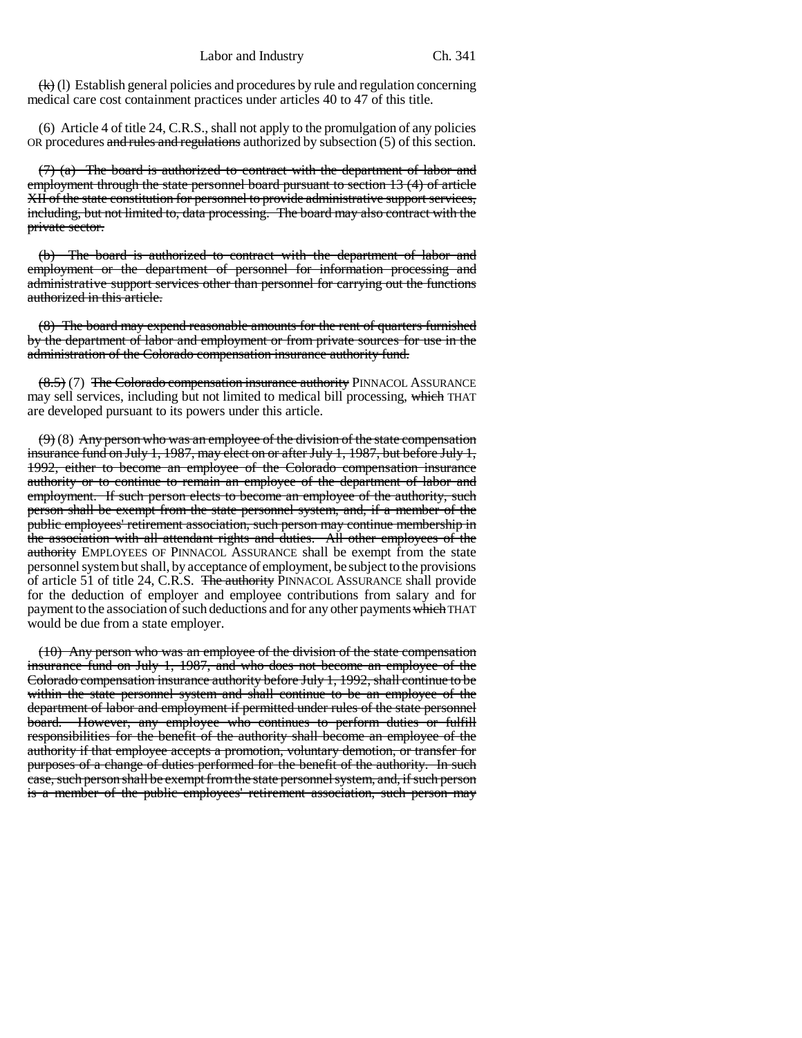$\langle k \rangle$  (1) Establish general policies and procedures by rule and regulation concerning medical care cost containment practices under articles 40 to 47 of this title.

(6) Article 4 of title 24, C.R.S., shall not apply to the promulgation of any policies OR procedures and rules and regulations authorized by subsection (5) of this section.

(7) (a) The board is authorized to contract with the department of labor and employment through the state personnel board pursuant to section 13 (4) of article XII of the state constitution for personnel to provide administrative support services, including, but not limited to, data processing. The board may also contract with the private sector.

(b) The board is authorized to contract with the department of labor and employment or the department of personnel for information processing and administrative support services other than personnel for carrying out the functions authorized in this article.

(8) The board may expend reasonable amounts for the rent of quarters furnished by the department of labor and employment or from private sources for use in the administration of the Colorado compensation insurance authority fund.

 $(8.5)$  (7) The Colorado compensation insurance authority PINNACOL ASSURANCE may sell services, including but not limited to medical bill processing, which THAT are developed pursuant to its powers under this article.

 $(9)$  (8) Any person who was an employee of the division of the state compensation insurance fund on July 1, 1987, may elect on or after July 1, 1987, but before July 1, 1992, either to become an employee of the Colorado compensation insurance authority or to continue to remain an employee of the department of labor and employment. If such person elects to become an employee of the authority, such person shall be exempt from the state personnel system, and, if a member of the public employees' retirement association, such person may continue membership in the association with all attendant rights and duties. All other employees of the authority EMPLOYEES OF PINNACOL ASSURANCE shall be exempt from the state personnel system but shall, by acceptance of employment, be subject to the provisions of article 51 of title 24, C.R.S. The authority PINNACOL ASSURANCE shall provide for the deduction of employer and employee contributions from salary and for payment to the association of such deductions and for any other payments which THAT would be due from a state employer.

(10) Any person who was an employee of the division of the state compensation insurance fund on July 1, 1987, and who does not become an employee of the Colorado compensation insurance authority before July 1, 1992, shall continue to be within the state personnel system and shall continue to be an employee of the department of labor and employment if permitted under rules of the state personnel board. However, any employee who continues to perform duties or fulfill responsibilities for the benefit of the authority shall become an employee of the authority if that employee accepts a promotion, voluntary demotion, or transfer for purposes of a change of duties performed for the benefit of the authority. In such case, such person shall be exempt from the state personnel system, and, if such person is a member of the public employees' retirement association, such person may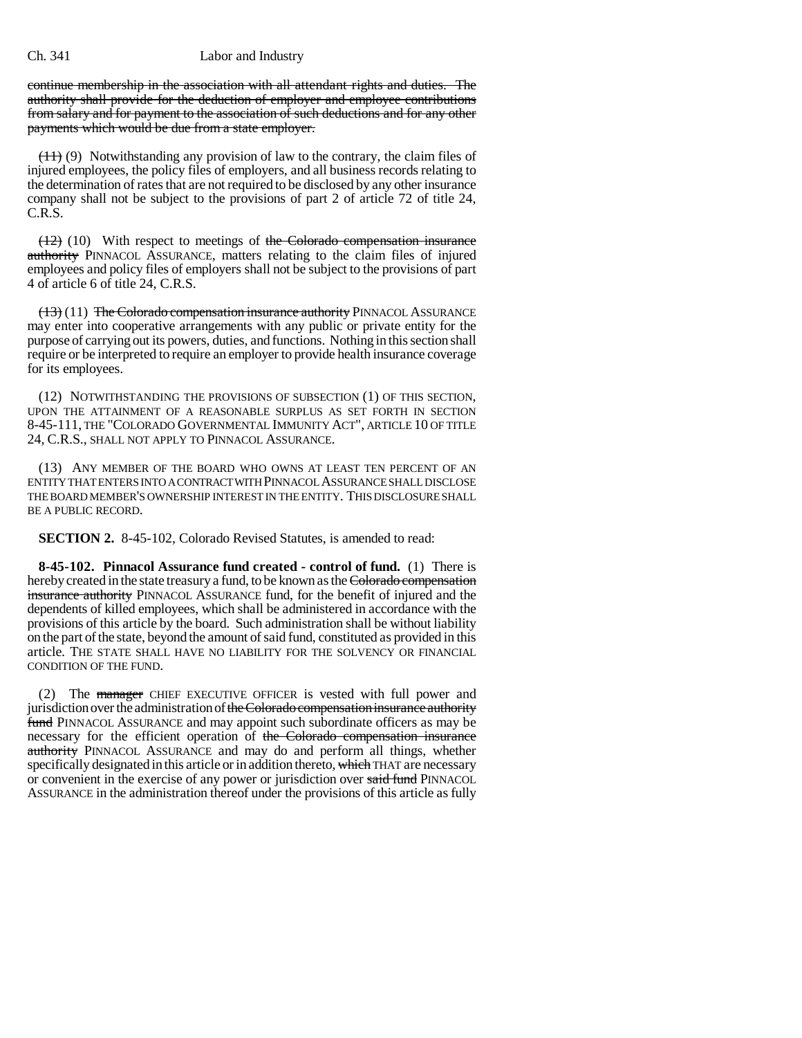continue membership in the association with all attendant rights and duties. The authority shall provide for the deduction of employer and employee contributions from salary and for payment to the association of such deductions and for any other payments which would be due from a state employer.

 $(11)$  (9) Notwithstanding any provision of law to the contrary, the claim files of injured employees, the policy files of employers, and all business records relating to the determination of rates that are not required to be disclosed by any other insurance company shall not be subject to the provisions of part 2 of article 72 of title 24, C.R.S.

 $(12)$  (10) With respect to meetings of the Colorado compensation insurance authority PINNACOL ASSURANCE, matters relating to the claim files of injured employees and policy files of employers shall not be subject to the provisions of part 4 of article 6 of title 24, C.R.S.

(13) (11) The Colorado compensation insurance authority PINNACOL ASSURANCE may enter into cooperative arrangements with any public or private entity for the purpose of carrying out its powers, duties, and functions. Nothing in this section shall require or be interpreted to require an employer to provide health insurance coverage for its employees.

(12) NOTWITHSTANDING THE PROVISIONS OF SUBSECTION (1) OF THIS SECTION, UPON THE ATTAINMENT OF A REASONABLE SURPLUS AS SET FORTH IN SECTION 8-45-111, THE "COLORADO GOVERNMENTAL IMMUNITY ACT", ARTICLE 10 OF TITLE 24, C.R.S., SHALL NOT APPLY TO PINNACOL ASSURANCE.

(13) ANY MEMBER OF THE BOARD WHO OWNS AT LEAST TEN PERCENT OF AN ENTITY THAT ENTERS INTO A CONTRACT WITH PINNACOL ASSURANCE SHALL DISCLOSE THE BOARD MEMBER'S OWNERSHIP INTEREST IN THE ENTITY. THIS DISCLOSURE SHALL BE A PUBLIC RECORD.

**SECTION 2.** 8-45-102, Colorado Revised Statutes, is amended to read:

**8-45-102. Pinnacol Assurance fund created - control of fund.** (1) There is hereby created in the state treasury a fund, to be known as the Colorado compensation insurance authority PINNACOL ASSURANCE fund, for the benefit of injured and the dependents of killed employees, which shall be administered in accordance with the provisions of this article by the board. Such administration shall be without liability on the part of the state, beyond the amount of said fund, constituted as provided in this article. THE STATE SHALL HAVE NO LIABILITY FOR THE SOLVENCY OR FINANCIAL CONDITION OF THE FUND.

(2) The manager CHIEF EXECUTIVE OFFICER is vested with full power and jurisdiction over the administration of the Colorado compensation insurance authority fund PINNACOL ASSURANCE and may appoint such subordinate officers as may be necessary for the efficient operation of the Colorado compensation insurance authority PINNACOL ASSURANCE and may do and perform all things, whether specifically designated in this article or in addition thereto, which THAT are necessary or convenient in the exercise of any power or jurisdiction over said fund PINNACOL ASSURANCE in the administration thereof under the provisions of this article as fully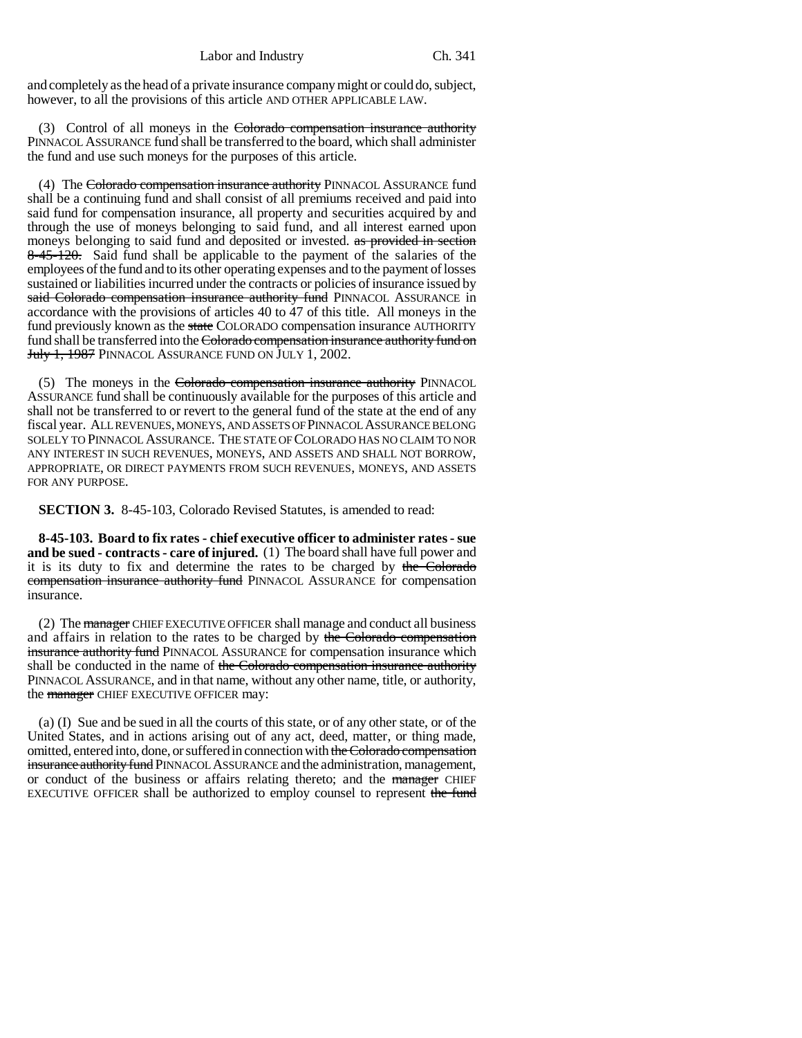and completely as the head of a private insurance company might or could do, subject, however, to all the provisions of this article AND OTHER APPLICABLE LAW.

(3) Control of all moneys in the Colorado compensation insurance authority PINNACOL ASSURANCE fund shall be transferred to the board, which shall administer the fund and use such moneys for the purposes of this article.

(4) The Colorado compensation insurance authority PINNACOL ASSURANCE fund shall be a continuing fund and shall consist of all premiums received and paid into said fund for compensation insurance, all property and securities acquired by and through the use of moneys belonging to said fund, and all interest earned upon moneys belonging to said fund and deposited or invested. as provided in section 8-45-120. Said fund shall be applicable to the payment of the salaries of the employees of the fund and to its other operating expenses and to the payment of losses sustained or liabilities incurred under the contracts or policies of insurance issued by said Colorado compensation insurance authority fund PINNACOL ASSURANCE in accordance with the provisions of articles 40 to 47 of this title. All moneys in the fund previously known as the state COLORADO compensation insurance AUTHORITY fund shall be transferred into the Colorado compensation insurance authority fund on July 1, 1987 PINNACOL ASSURANCE FUND ON JULY 1, 2002.

(5) The moneys in the Colorado compensation insurance authority PINNACOL ASSURANCE fund shall be continuously available for the purposes of this article and shall not be transferred to or revert to the general fund of the state at the end of any fiscal year. ALL REVENUES, MONEYS, AND ASSETS OF PINNACOL ASSURANCE BELONG SOLELY TO PINNACOL ASSURANCE. THE STATE OF COLORADO HAS NO CLAIM TO NOR ANY INTEREST IN SUCH REVENUES, MONEYS, AND ASSETS AND SHALL NOT BORROW, APPROPRIATE, OR DIRECT PAYMENTS FROM SUCH REVENUES, MONEYS, AND ASSETS FOR ANY PURPOSE.

**SECTION 3.** 8-45-103, Colorado Revised Statutes, is amended to read:

**8-45-103. Board to fix rates - chief executive officer to administer rates - sue and be sued - contracts - care of injured.** (1) The board shall have full power and it is its duty to fix and determine the rates to be charged by the Colorado compensation insurance authority fund PINNACOL ASSURANCE for compensation insurance.

(2) The manager CHIEF EXECUTIVE OFFICER shall manage and conduct all business and affairs in relation to the rates to be charged by the Colorado compensation **insurance authority fund PINNACOL ASSURANCE for compensation insurance which** shall be conducted in the name of the Colorado compensation insurance authority PINNACOL ASSURANCE, and in that name, without any other name, title, or authority, the **manager** CHIEF EXECUTIVE OFFICER may:

(a) (I) Sue and be sued in all the courts of this state, or of any other state, or of the United States, and in actions arising out of any act, deed, matter, or thing made, omitted, entered into, done, or suffered in connection with the Colorado compensation insurance authority fund PINNACOL ASSURANCE and the administration, management, or conduct of the business or affairs relating thereto; and the manager CHIEF EXECUTIVE OFFICER shall be authorized to employ counsel to represent the fund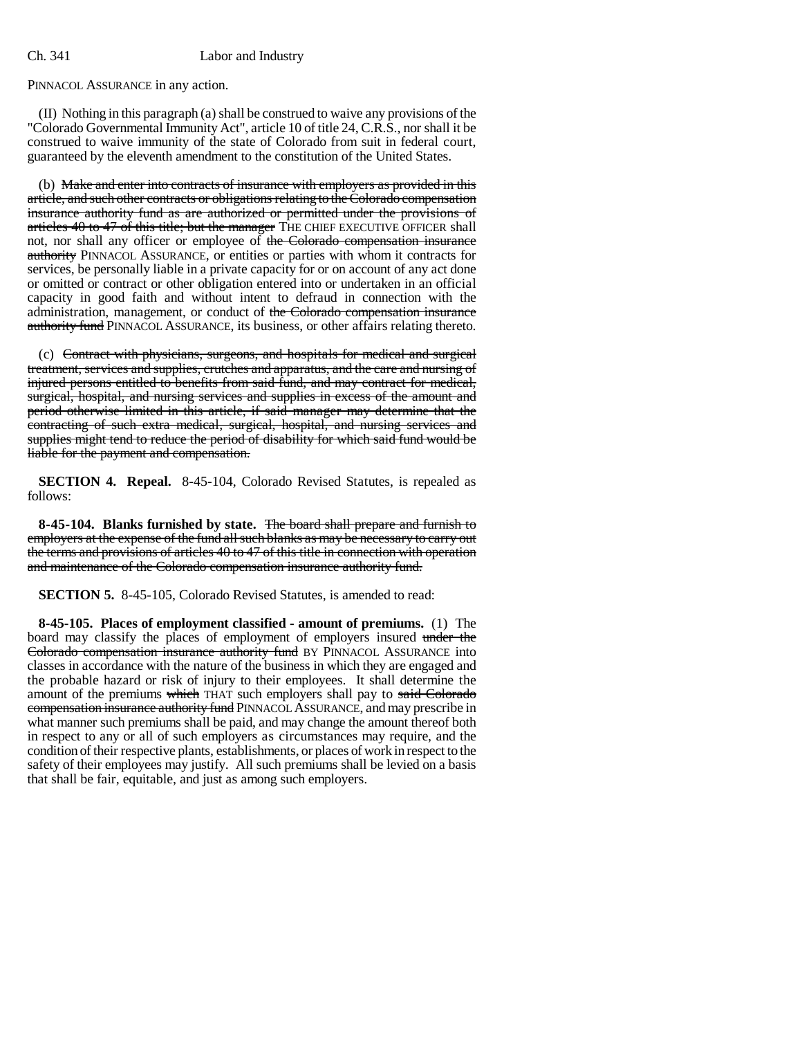PINNACOL ASSURANCE in any action.

(II) Nothing in this paragraph (a) shall be construed to waive any provisions of the "Colorado Governmental Immunity Act", article 10 of title 24, C.R.S., nor shall it be construed to waive immunity of the state of Colorado from suit in federal court, guaranteed by the eleventh amendment to the constitution of the United States.

(b) Make and enter into contracts of insurance with employers as provided in this article, and such other contracts or obligations relating to the Colorado compensation insurance authority fund as are authorized or permitted under the provisions of articles 40 to 47 of this title; but the manager THE CHIEF EXECUTIVE OFFICER shall not, nor shall any officer or employee of the Colorado compensation insurance authority PINNACOL ASSURANCE, or entities or parties with whom it contracts for services, be personally liable in a private capacity for or on account of any act done or omitted or contract or other obligation entered into or undertaken in an official capacity in good faith and without intent to defraud in connection with the administration, management, or conduct of the Colorado compensation insurance authority fund PINNACOL ASSURANCE, its business, or other affairs relating thereto.

(c) Contract with physicians, surgeons, and hospitals for medical and surgical treatment, services and supplies, crutches and apparatus, and the care and nursing of injured persons entitled to benefits from said fund, and may contract for medical, surgical, hospital, and nursing services and supplies in excess of the amount and period otherwise limited in this article, if said manager may determine that the contracting of such extra medical, surgical, hospital, and nursing services and supplies might tend to reduce the period of disability for which said fund would be liable for the payment and compensation.

**SECTION 4. Repeal.** 8-45-104, Colorado Revised Statutes, is repealed as follows:

**8-45-104. Blanks furnished by state.** The board shall prepare and furnish to employers at the expense of the fund all such blanks as may be necessary to carry out the terms and provisions of articles 40 to 47 of this title in connection with operation and maintenance of the Colorado compensation insurance authority fund.

**SECTION 5.** 8-45-105, Colorado Revised Statutes, is amended to read:

**8-45-105. Places of employment classified - amount of premiums.** (1) The board may classify the places of employment of employers insured under the Colorado compensation insurance authority fund BY PINNACOL ASSURANCE into classes in accordance with the nature of the business in which they are engaged and the probable hazard or risk of injury to their employees. It shall determine the amount of the premiums which THAT such employers shall pay to said Colorado compensation insurance authority fund PINNACOL ASSURANCE, and may prescribe in what manner such premiums shall be paid, and may change the amount thereof both in respect to any or all of such employers as circumstances may require, and the condition of their respective plants, establishments, or places of work in respect to the safety of their employees may justify. All such premiums shall be levied on a basis that shall be fair, equitable, and just as among such employers.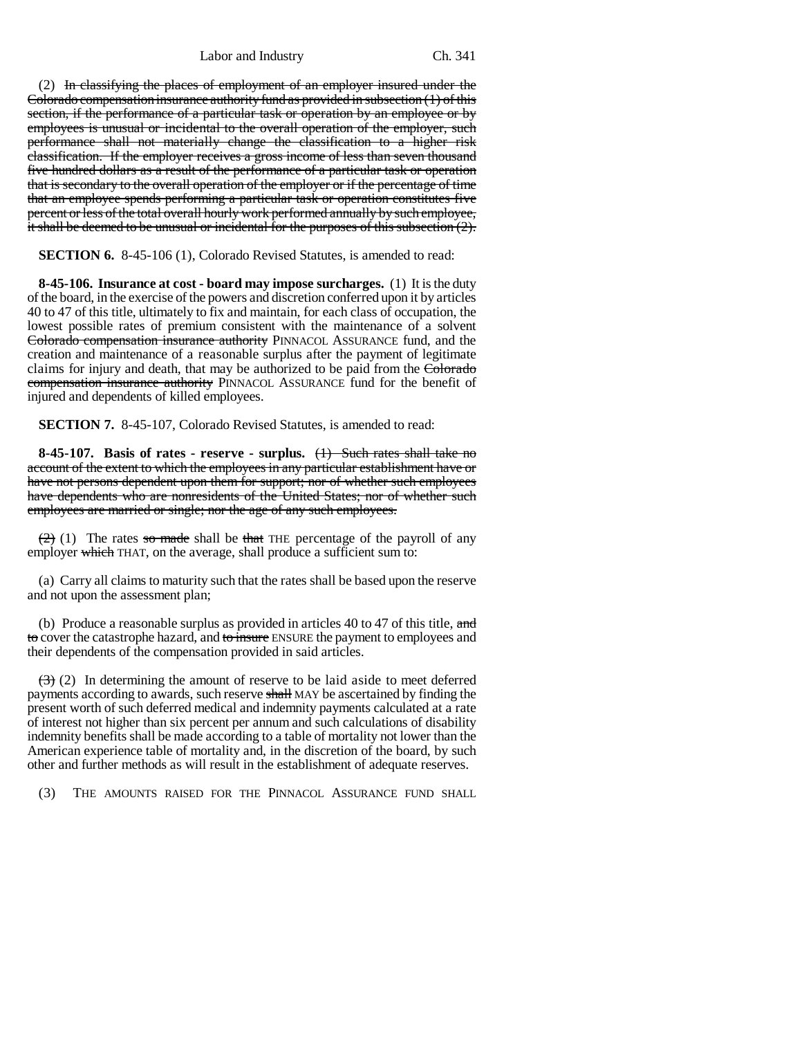(2) In classifying the places of employment of an employer insured under the Colorado compensation insurance authority fund as provided in subsection (1) of this section, if the performance of a particular task or operation by an employee or by employees is unusual or incidental to the overall operation of the employer, such performance shall not materially change the classification to a higher risk classification. If the employer receives a gross income of less than seven thousand five hundred dollars as a result of the performance of a particular task or operation that is secondary to the overall operation of the employer or if the percentage of time that an employee spends performing a particular task or operation constitutes five percent or less of the total overall hourly work performed annually by such employee, it shall be deemed to be unusual or incidental for the purposes of this subsection (2).

**SECTION 6.** 8-45-106 (1), Colorado Revised Statutes, is amended to read:

**8-45-106. Insurance at cost - board may impose surcharges.** (1) It is the duty of the board, in the exercise of the powers and discretion conferred upon it by articles 40 to 47 of this title, ultimately to fix and maintain, for each class of occupation, the lowest possible rates of premium consistent with the maintenance of a solvent Colorado compensation insurance authority PINNACOL ASSURANCE fund, and the creation and maintenance of a reasonable surplus after the payment of legitimate claims for injury and death, that may be authorized to be paid from the Colorado compensation insurance authority PINNACOL ASSURANCE fund for the benefit of injured and dependents of killed employees.

**SECTION 7.** 8-45-107, Colorado Revised Statutes, is amended to read:

**8-45-107. Basis of rates - reserve - surplus.** (1) Such rates shall take no account of the extent to which the employees in any particular establishment have or have not persons dependent upon them for support; nor of whether such employees have dependents who are nonresidents of the United States; nor of whether such employees are married or single; nor the age of any such employees.

 $(2)$  (1) The rates so made shall be that THE percentage of the payroll of any employer which THAT, on the average, shall produce a sufficient sum to:

(a) Carry all claims to maturity such that the rates shall be based upon the reserve and not upon the assessment plan;

(b) Produce a reasonable surplus as provided in articles 40 to 47 of this title,  $\frac{\text{and}}{\text{and}}$ to cover the catastrophe hazard, and to insure ENSURE the payment to employees and their dependents of the compensation provided in said articles.

 $(3)$  (2) In determining the amount of reserve to be laid aside to meet deferred payments according to awards, such reserve shall MAY be ascertained by finding the present worth of such deferred medical and indemnity payments calculated at a rate of interest not higher than six percent per annum and such calculations of disability indemnity benefits shall be made according to a table of mortality not lower than the American experience table of mortality and, in the discretion of the board, by such other and further methods as will result in the establishment of adequate reserves.

(3) THE AMOUNTS RAISED FOR THE PINNACOL ASSURANCE FUND SHALL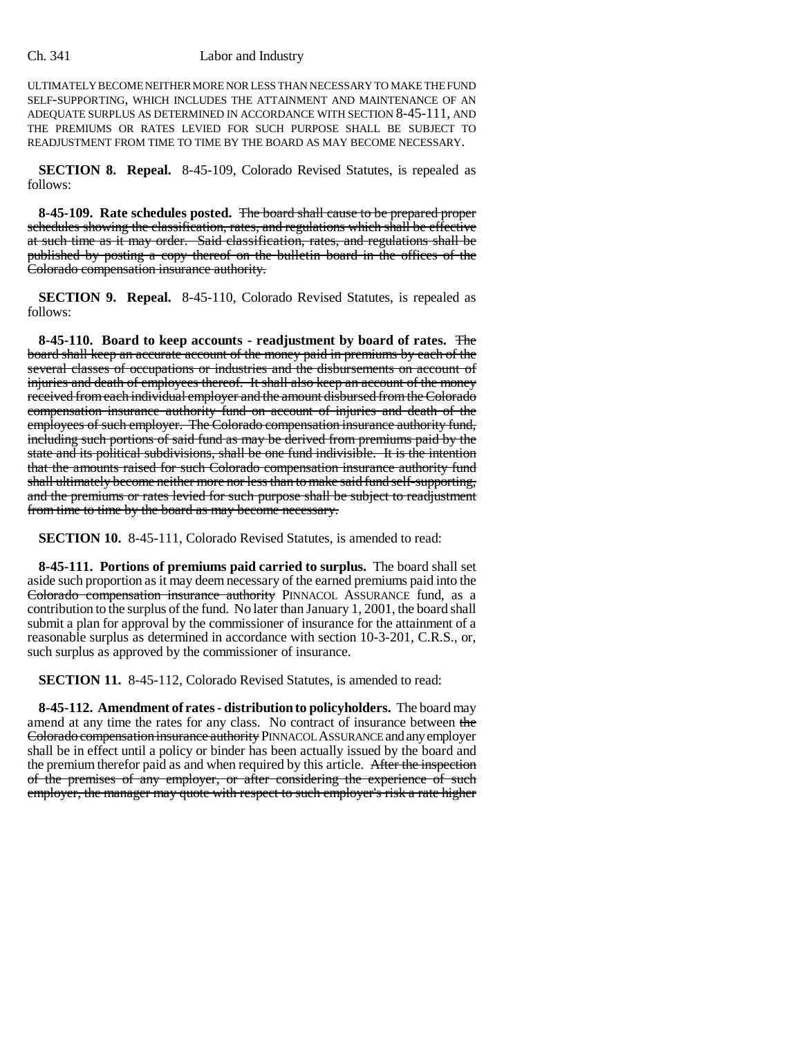ULTIMATELY BECOME NEITHER MORE NOR LESS THAN NECESSARY TO MAKE THE FUND SELF-SUPPORTING, WHICH INCLUDES THE ATTAINMENT AND MAINTENANCE OF AN ADEQUATE SURPLUS AS DETERMINED IN ACCORDANCE WITH SECTION 8-45-111, AND THE PREMIUMS OR RATES LEVIED FOR SUCH PURPOSE SHALL BE SUBJECT TO READJUSTMENT FROM TIME TO TIME BY THE BOARD AS MAY BECOME NECESSARY.

**SECTION 8. Repeal.** 8-45-109, Colorado Revised Statutes, is repealed as follows:

**8-45-109. Rate schedules posted.** The board shall cause to be prepared proper schedules showing the classification, rates, and regulations which shall be effective at such time as it may order. Said classification, rates, and regulations shall be published by posting a copy thereof on the bulletin board in the offices of the Colorado compensation insurance authority.

**SECTION 9. Repeal.** 8-45-110, Colorado Revised Statutes, is repealed as follows:

**8-45-110. Board to keep accounts - readjustment by board of rates.** The board shall keep an accurate account of the money paid in premiums by each of the several classes of occupations or industries and the disbursements on account of injuries and death of employees thereof. It shall also keep an account of the money received from each individual employer and the amount disbursed from the Colorado compensation insurance authority fund on account of injuries and death of the employees of such employer. The Colorado compensation insurance authority fund, including such portions of said fund as may be derived from premiums paid by the state and its political subdivisions, shall be one fund indivisible. It is the intention that the amounts raised for such Colorado compensation insurance authority fund shall ultimately become neither more nor less than to make said fund self-supporting, and the premiums or rates levied for such purpose shall be subject to readjustment from time to time by the board as may become necessary.

**SECTION 10.** 8-45-111, Colorado Revised Statutes, is amended to read:

**8-45-111. Portions of premiums paid carried to surplus.** The board shall set aside such proportion as it may deem necessary of the earned premiums paid into the Colorado compensation insurance authority PINNACOL ASSURANCE fund, as a contribution to the surplus of the fund. No later than January 1, 2001, the board shall submit a plan for approval by the commissioner of insurance for the attainment of a reasonable surplus as determined in accordance with section 10-3-201, C.R.S., or, such surplus as approved by the commissioner of insurance.

**SECTION 11.** 8-45-112, Colorado Revised Statutes, is amended to read:

**8-45-112. Amendment of rates - distribution to policyholders.** The board may amend at any time the rates for any class. No contract of insurance between the Colorado compensation insurance authority PINNACOL ASSURANCE and any employer shall be in effect until a policy or binder has been actually issued by the board and the premium therefor paid as and when required by this article. After the inspection of the premises of any employer, or after considering the experience of such employer, the manager may quote with respect to such employer's risk a rate higher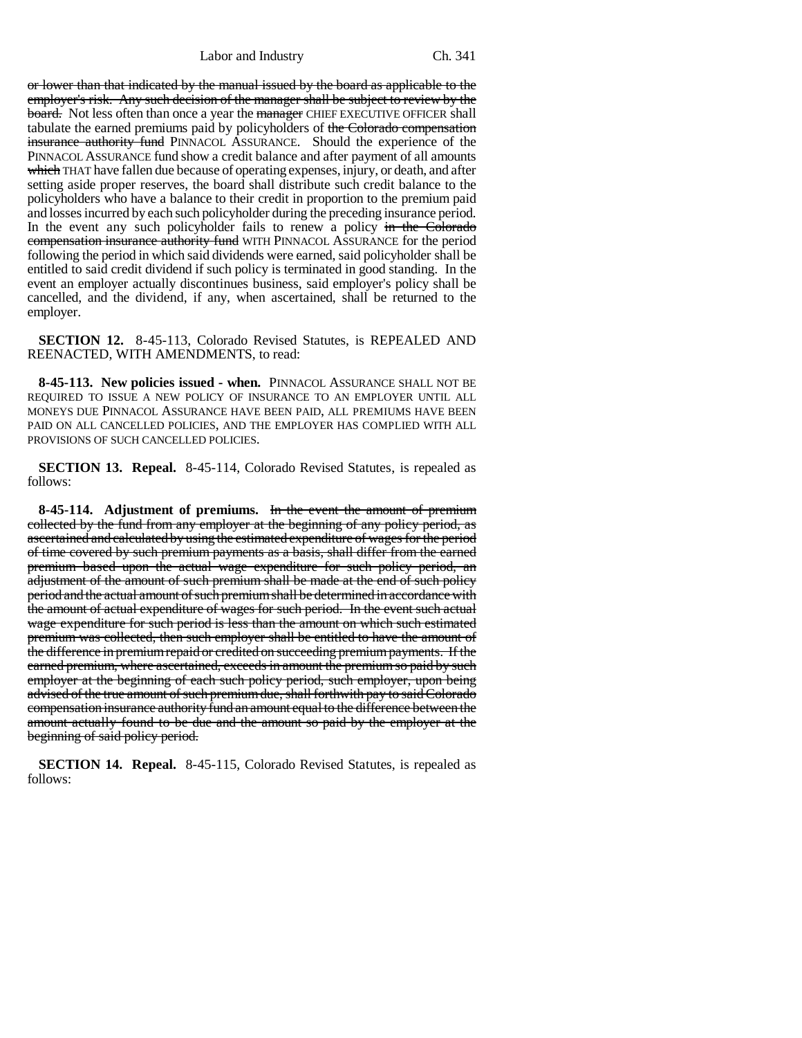or lower than that indicated by the manual issued by the board as applicable to the employer's risk. Any such decision of the manager shall be subject to review by the board. Not less often than once a year the manager CHIEF EXECUTIVE OFFICER shall tabulate the earned premiums paid by policyholders of the Colorado compensation insurance authority fund PINNACOL ASSURANCE. Should the experience of the PINNACOL ASSURANCE fund show a credit balance and after payment of all amounts which THAT have fallen due because of operating expenses, injury, or death, and after setting aside proper reserves, the board shall distribute such credit balance to the policyholders who have a balance to their credit in proportion to the premium paid and losses incurred by each such policyholder during the preceding insurance period. In the event any such policyholder fails to renew a policy in the Colorado compensation insurance authority fund WITH PINNACOL ASSURANCE for the period following the period in which said dividends were earned, said policyholder shall be entitled to said credit dividend if such policy is terminated in good standing. In the event an employer actually discontinues business, said employer's policy shall be cancelled, and the dividend, if any, when ascertained, shall be returned to the employer.

**SECTION 12.** 8-45-113, Colorado Revised Statutes, is REPEALED AND REENACTED, WITH AMENDMENTS, to read:

**8-45-113. New policies issued - when.** PINNACOL ASSURANCE SHALL NOT BE REQUIRED TO ISSUE A NEW POLICY OF INSURANCE TO AN EMPLOYER UNTIL ALL MONEYS DUE PINNACOL ASSURANCE HAVE BEEN PAID, ALL PREMIUMS HAVE BEEN PAID ON ALL CANCELLED POLICIES, AND THE EMPLOYER HAS COMPLIED WITH ALL PROVISIONS OF SUCH CANCELLED POLICIES.

**SECTION 13. Repeal.** 8-45-114, Colorado Revised Statutes, is repealed as follows:

**8-45-114. Adjustment of premiums.** In the event the amount of premium collected by the fund from any employer at the beginning of any policy period, as ascertained and calculated by using the estimated expenditure of wages for the period of time covered by such premium payments as a basis, shall differ from the earned premium based upon the actual wage expenditure for such policy period, an adjustment of the amount of such premium shall be made at the end of such policy period and the actual amount of such premium shall be determined in accordance with the amount of actual expenditure of wages for such period. In the event such actual wage expenditure for such period is less than the amount on which such estimated premium was collected, then such employer shall be entitled to have the amount of the difference in premium repaid or credited on succeeding premium payments. If the earned premium, where ascertained, exceeds in amount the premium so paid by such employer at the beginning of each such policy period, such employer, upon being advised of the true amount of such premium due, shall forthwith pay to said Colorado compensation insurance authority fund an amount equal to the difference between the amount actually found to be due and the amount so paid by the employer at the beginning of said policy period.

**SECTION 14. Repeal.** 8-45-115, Colorado Revised Statutes, is repealed as follows: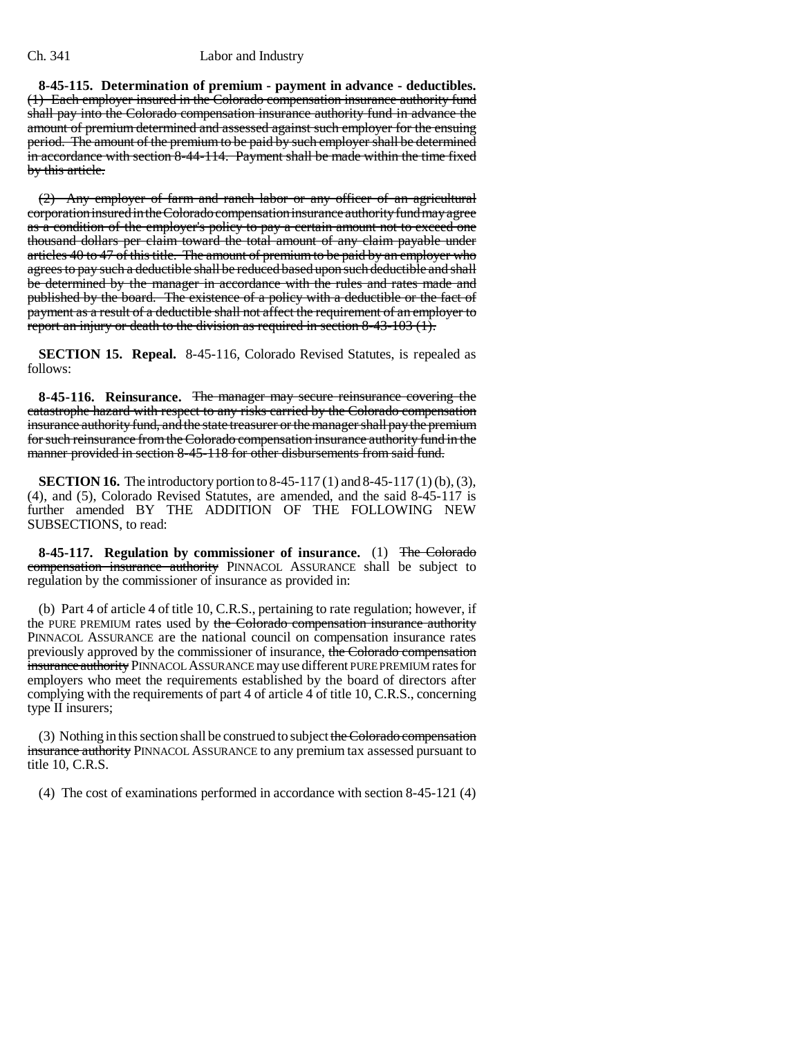**8-45-115. Determination of premium - payment in advance - deductibles.** (1) Each employer insured in the Colorado compensation insurance authority fund shall pay into the Colorado compensation insurance authority fund in advance the amount of premium determined and assessed against such employer for the ensuing period. The amount of the premium to be paid by such employer shall be determined in accordance with section 8-44-114. Payment shall be made within the time fixed by this article.

(2) Any employer of farm and ranch labor or any officer of an agricultural corporation insured in the Colorado compensation insurance authority fund may agree as a condition of the employer's policy to pay a certain amount not to exceed one thousand dollars per claim toward the total amount of any claim payable under articles 40 to 47 of this title. The amount of premium to be paid by an employer who agrees to pay such a deductible shall be reduced based upon such deductible and shall be determined by the manager in accordance with the rules and rates made and published by the board. The existence of a policy with a deductible or the fact of payment as a result of a deductible shall not affect the requirement of an employer to report an injury or death to the division as required in section 8-43-103 (1).

**SECTION 15. Repeal.** 8-45-116, Colorado Revised Statutes, is repealed as follows:

**8-45-116. Reinsurance.** The manager may secure reinsurance covering the catastrophe hazard with respect to any risks carried by the Colorado compensation insurance authority fund, and the state treasurer or the manager shall pay the premium for such reinsurance from the Colorado compensation insurance authority fund in the manner provided in section 8-45-118 for other disbursements from said fund.

**SECTION 16.** The introductory portion to 8-45-117 (1) and 8-45-117 (1) (b), (3), (4), and (5), Colorado Revised Statutes, are amended, and the said 8-45-117 is further amended BY THE ADDITION OF THE FOLLOWING NEW SUBSECTIONS, to read:

**8-45-117. Regulation by commissioner of insurance.** (1) The Colorado compensation insurance authority PINNACOL ASSURANCE shall be subject to regulation by the commissioner of insurance as provided in:

(b) Part 4 of article 4 of title 10, C.R.S., pertaining to rate regulation; however, if the PURE PREMIUM rates used by the Colorado compensation insurance authority PINNACOL ASSURANCE are the national council on compensation insurance rates previously approved by the commissioner of insurance, the Colorado compensation insurance authority PINNACOL ASSURANCE may use different PURE PREMIUM rates for employers who meet the requirements established by the board of directors after complying with the requirements of part 4 of article 4 of title 10, C.R.S., concerning type II insurers;

(3) Nothing in this section shall be construed to subject the Colorado compensation insurance authority PINNACOL ASSURANCE to any premium tax assessed pursuant to title 10, C.R.S.

(4) The cost of examinations performed in accordance with section 8-45-121 (4)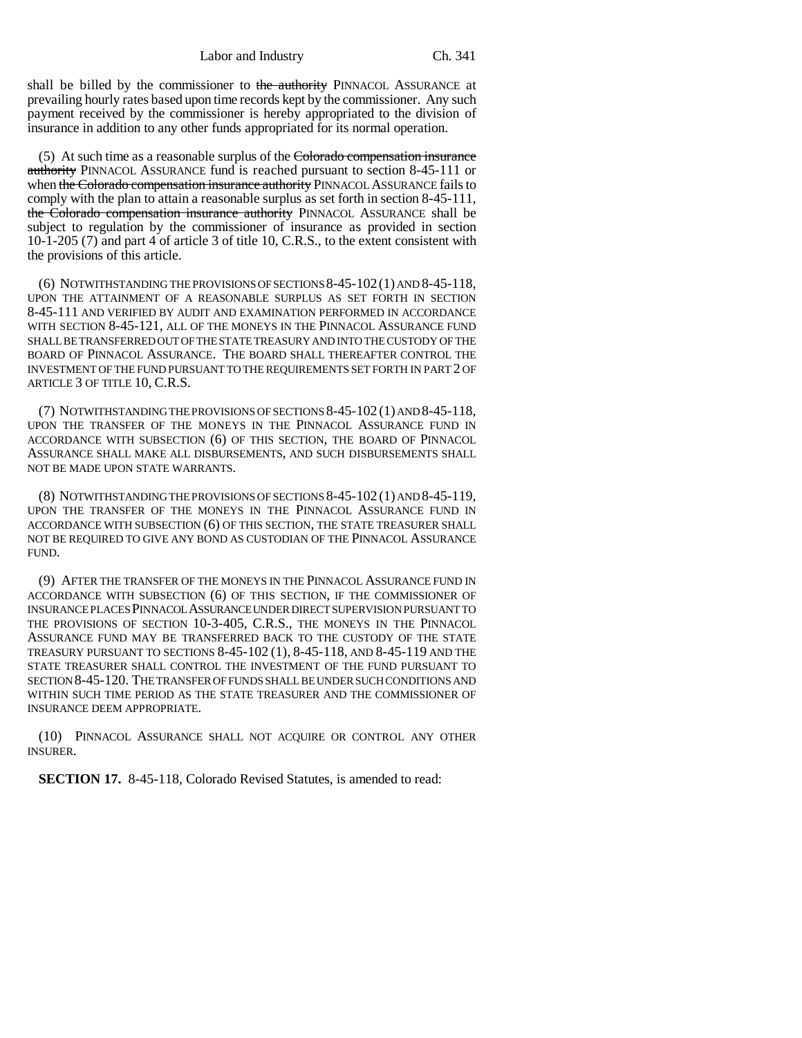shall be billed by the commissioner to the authority PINNACOL ASSURANCE at prevailing hourly rates based upon time records kept by the commissioner. Any such payment received by the commissioner is hereby appropriated to the division of insurance in addition to any other funds appropriated for its normal operation.

(5) At such time as a reasonable surplus of the Colorado compensation insurance authority PINNACOL ASSURANCE fund is reached pursuant to section 8-45-111 or when the Colorado compensation insurance authority PINNACOL ASSURANCE fails to comply with the plan to attain a reasonable surplus as set forth in section 8-45-111, the Colorado compensation insurance authority PINNACOL ASSURANCE shall be subject to regulation by the commissioner of insurance as provided in section 10-1-205 (7) and part 4 of article 3 of title 10, C.R.S., to the extent consistent with the provisions of this article.

(6) NOTWITHSTANDING THE PROVISIONS OF SECTIONS 8-45-102(1) AND 8-45-118, UPON THE ATTAINMENT OF A REASONABLE SURPLUS AS SET FORTH IN SECTION 8-45-111 AND VERIFIED BY AUDIT AND EXAMINATION PERFORMED IN ACCORDANCE WITH SECTION 8-45-121, ALL OF THE MONEYS IN THE PINNACOL ASSURANCE FUND SHALL BE TRANSFERRED OUT OF THE STATE TREASURY AND INTO THE CUSTODY OF THE BOARD OF PINNACOL ASSURANCE. THE BOARD SHALL THEREAFTER CONTROL THE INVESTMENT OF THE FUND PURSUANT TO THE REQUIREMENTS SET FORTH IN PART 2 OF ARTICLE 3 OF TITLE 10, C.R.S.

(7) NOTWITHSTANDING THE PROVISIONS OF SECTIONS 8-45-102 (1) AND 8-45-118, UPON THE TRANSFER OF THE MONEYS IN THE PINNACOL ASSURANCE FUND IN ACCORDANCE WITH SUBSECTION (6) OF THIS SECTION, THE BOARD OF PINNACOL ASSURANCE SHALL MAKE ALL DISBURSEMENTS, AND SUCH DISBURSEMENTS SHALL NOT BE MADE UPON STATE WARRANTS.

(8) NOTWITHSTANDING THE PROVISIONS OF SECTIONS 8-45-102 (1) AND 8-45-119, UPON THE TRANSFER OF THE MONEYS IN THE PINNACOL ASSURANCE FUND IN ACCORDANCE WITH SUBSECTION (6) OF THIS SECTION, THE STATE TREASURER SHALL NOT BE REQUIRED TO GIVE ANY BOND AS CUSTODIAN OF THE PINNACOL ASSURANCE FUND.

(9) AFTER THE TRANSFER OF THE MONEYS IN THE PINNACOL ASSURANCE FUND IN ACCORDANCE WITH SUBSECTION (6) OF THIS SECTION, IF THE COMMISSIONER OF INSURANCE PLACES PINNACOL ASSURANCE UNDER DIRECT SUPERVISION PURSUANT TO THE PROVISIONS OF SECTION 10-3-405, C.R.S., THE MONEYS IN THE PINNACOL ASSURANCE FUND MAY BE TRANSFERRED BACK TO THE CUSTODY OF THE STATE TREASURY PURSUANT TO SECTIONS 8-45-102 (1), 8-45-118, AND 8-45-119 AND THE STATE TREASURER SHALL CONTROL THE INVESTMENT OF THE FUND PURSUANT TO SECTION 8-45-120. THE TRANSFER OF FUNDS SHALL BE UNDER SUCH CONDITIONS AND WITHIN SUCH TIME PERIOD AS THE STATE TREASURER AND THE COMMISSIONER OF INSURANCE DEEM APPROPRIATE.

(10) PINNACOL ASSURANCE SHALL NOT ACQUIRE OR CONTROL ANY OTHER INSURER.

**SECTION 17.** 8-45-118, Colorado Revised Statutes, is amended to read: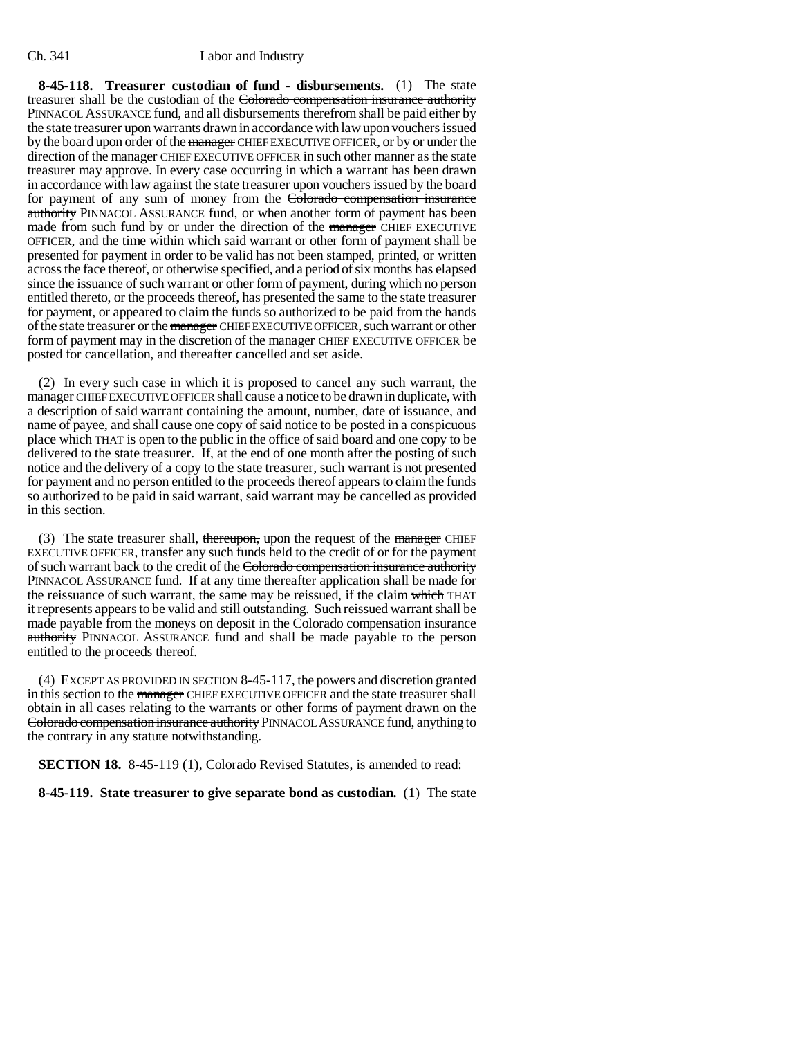**8-45-118. Treasurer custodian of fund - disbursements.** (1) The state treasurer shall be the custodian of the Colorado compensation insurance authority PINNACOL ASSURANCE fund, and all disbursements therefrom shall be paid either by the state treasurer upon warrants drawn in accordance with law upon vouchers issued by the board upon order of the manager CHIEF EXECUTIVE OFFICER, or by or under the direction of the manager CHIEF EXECUTIVE OFFICER in such other manner as the state treasurer may approve. In every case occurring in which a warrant has been drawn in accordance with law against the state treasurer upon vouchers issued by the board for payment of any sum of money from the Colorado compensation insurance authority PINNACOL ASSURANCE fund, or when another form of payment has been made from such fund by or under the direction of the manager CHIEF EXECUTIVE OFFICER, and the time within which said warrant or other form of payment shall be presented for payment in order to be valid has not been stamped, printed, or written across the face thereof, or otherwise specified, and a period of six months has elapsed since the issuance of such warrant or other form of payment, during which no person entitled thereto, or the proceeds thereof, has presented the same to the state treasurer for payment, or appeared to claim the funds so authorized to be paid from the hands of the state treasurer or the manager CHIEF EXECUTIVE OFFICER, such warrant or other form of payment may in the discretion of the manager CHIEF EXECUTIVE OFFICER be posted for cancellation, and thereafter cancelled and set aside.

(2) In every such case in which it is proposed to cancel any such warrant, the manager CHIEF EXECUTIVE OFFICER shall cause a notice to be drawn in duplicate, with a description of said warrant containing the amount, number, date of issuance, and name of payee, and shall cause one copy of said notice to be posted in a conspicuous place which THAT is open to the public in the office of said board and one copy to be delivered to the state treasurer. If, at the end of one month after the posting of such notice and the delivery of a copy to the state treasurer, such warrant is not presented for payment and no person entitled to the proceeds thereof appears to claim the funds so authorized to be paid in said warrant, said warrant may be cancelled as provided in this section.

(3) The state treasurer shall, thereupon, upon the request of the manager CHIEF EXECUTIVE OFFICER, transfer any such funds held to the credit of or for the payment of such warrant back to the credit of the Colorado compensation insurance authority PINNACOL ASSURANCE fund. If at any time thereafter application shall be made for the reissuance of such warrant, the same may be reissued, if the claim which THAT it represents appears to be valid and still outstanding. Such reissued warrant shall be made payable from the moneys on deposit in the Colorado compensation insurance authority PINNACOL ASSURANCE fund and shall be made payable to the person entitled to the proceeds thereof.

(4) EXCEPT AS PROVIDED IN SECTION 8-45-117, the powers and discretion granted in this section to the manager CHIEF EXECUTIVE OFFICER and the state treasurer shall obtain in all cases relating to the warrants or other forms of payment drawn on the Colorado compensation insurance authority PINNACOL ASSURANCE fund, anything to the contrary in any statute notwithstanding.

**SECTION 18.** 8-45-119 (1), Colorado Revised Statutes, is amended to read:

**8-45-119. State treasurer to give separate bond as custodian.** (1) The state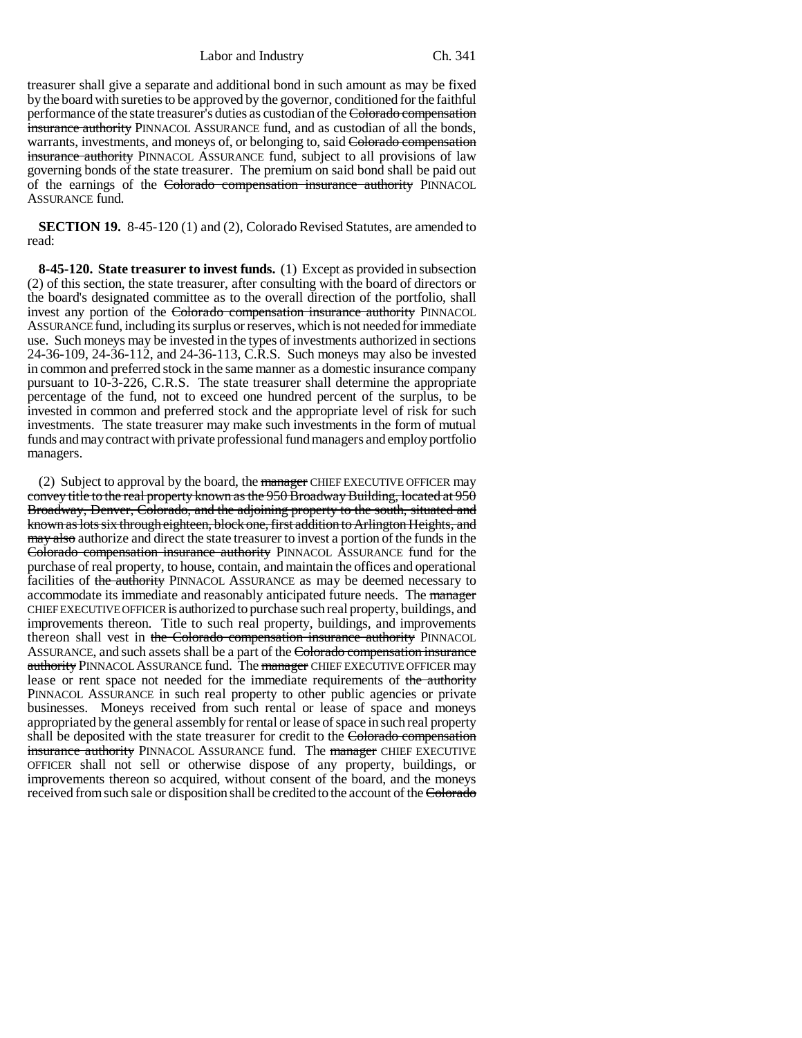treasurer shall give a separate and additional bond in such amount as may be fixed by the board with sureties to be approved by the governor, conditioned for the faithful performance of the state treasurer's duties as custodian of the Colorado compensation insurance authority PINNACOL ASSURANCE fund, and as custodian of all the bonds, warrants, investments, and moneys of, or belonging to, said Colorado compensation insurance authority PINNACOL ASSURANCE fund, subject to all provisions of law governing bonds of the state treasurer. The premium on said bond shall be paid out of the earnings of the Colorado compensation insurance authority PINNACOL ASSURANCE fund.

**SECTION 19.** 8-45-120 (1) and (2), Colorado Revised Statutes, are amended to read:

**8-45-120. State treasurer to invest funds.** (1) Except as provided in subsection (2) of this section, the state treasurer, after consulting with the board of directors or the board's designated committee as to the overall direction of the portfolio, shall invest any portion of the Colorado compensation insurance authority PINNACOL ASSURANCE fund, including its surplus or reserves, which is not needed for immediate use. Such moneys may be invested in the types of investments authorized in sections 24-36-109, 24-36-112, and 24-36-113, C.R.S. Such moneys may also be invested in common and preferred stock in the same manner as a domestic insurance company pursuant to 10-3-226, C.R.S. The state treasurer shall determine the appropriate percentage of the fund, not to exceed one hundred percent of the surplus, to be invested in common and preferred stock and the appropriate level of risk for such investments. The state treasurer may make such investments in the form of mutual funds and may contract with private professional fund managers and employ portfolio managers.

(2) Subject to approval by the board, the manager CHIEF EXECUTIVE OFFICER may convey title to the real property known as the 950 Broadway Building, located at 950 Broadway, Denver, Colorado, and the adjoining property to the south, situated and known as lots six through eighteen, block one, first addition to Arlington Heights, and may also authorize and direct the state treasurer to invest a portion of the funds in the Colorado compensation insurance authority PINNACOL ASSURANCE fund for the purchase of real property, to house, contain, and maintain the offices and operational facilities of the authority PINNACOL ASSURANCE as may be deemed necessary to accommodate its immediate and reasonably anticipated future needs. The manager CHIEF EXECUTIVE OFFICER is authorized to purchase such real property, buildings, and improvements thereon. Title to such real property, buildings, and improvements thereon shall vest in the Colorado compensation insurance authority PINNACOL ASSURANCE, and such assets shall be a part of the Colorado compensation insurance authority PINNACOL ASSURANCE fund. The manager CHIEF EXECUTIVE OFFICER may lease or rent space not needed for the immediate requirements of the authority PINNACOL ASSURANCE in such real property to other public agencies or private businesses. Moneys received from such rental or lease of space and moneys appropriated by the general assembly for rental or lease of space in such real property shall be deposited with the state treasurer for credit to the Colorado compensation insurance authority PINNACOL ASSURANCE fund. The manager CHIEF EXECUTIVE OFFICER shall not sell or otherwise dispose of any property, buildings, or improvements thereon so acquired, without consent of the board, and the moneys received from such sale or disposition shall be credited to the account of the Colorado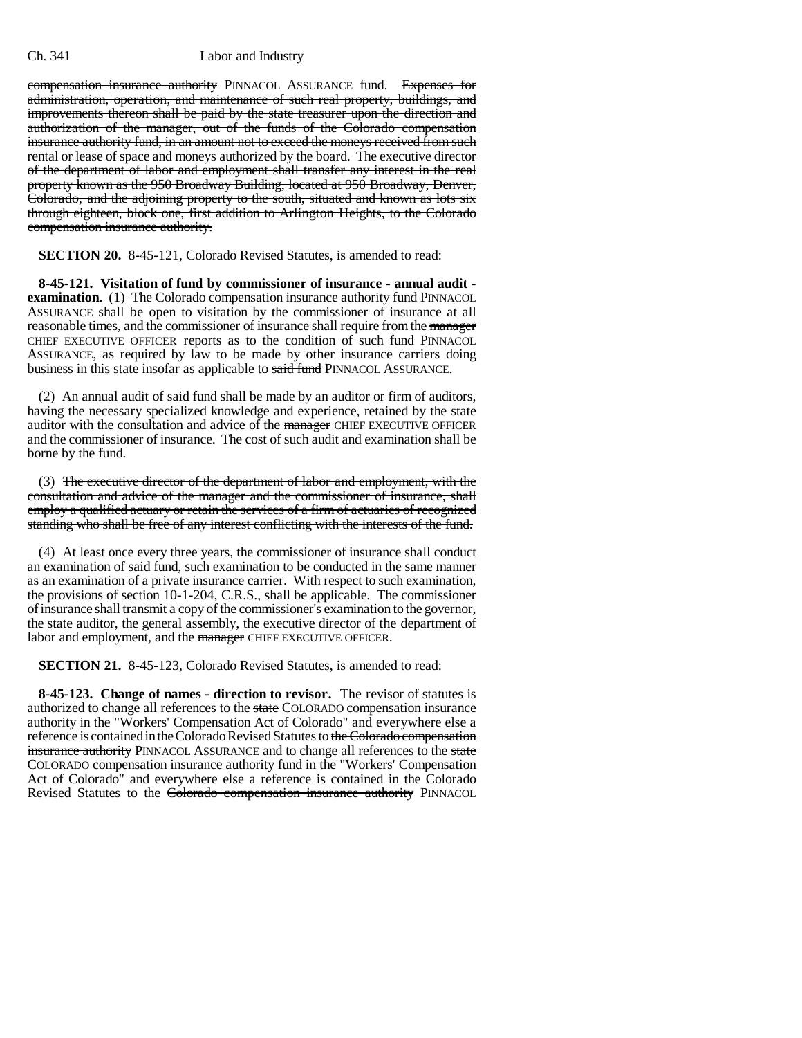compensation insurance authority PINNACOL ASSURANCE fund. Expenses for administration, operation, and maintenance of such real property, buildings, and improvements thereon shall be paid by the state treasurer upon the direction and authorization of the manager, out of the funds of the Colorado compensation insurance authority fund, in an amount not to exceed the moneys received from such rental or lease of space and moneys authorized by the board. The executive director of the department of labor and employment shall transfer any interest in the real property known as the 950 Broadway Building, located at 950 Broadway, Denver, Colorado, and the adjoining property to the south, situated and known as lots six through eighteen, block one, first addition to Arlington Heights, to the Colorado compensation insurance authority.

**SECTION 20.** 8-45-121, Colorado Revised Statutes, is amended to read:

**8-45-121. Visitation of fund by commissioner of insurance - annual audit examination.** (1) The Colorado compensation insurance authority fund PINNACOL ASSURANCE shall be open to visitation by the commissioner of insurance at all reasonable times, and the commissioner of insurance shall require from the manager CHIEF EXECUTIVE OFFICER reports as to the condition of such fund PINNACOL ASSURANCE, as required by law to be made by other insurance carriers doing business in this state insofar as applicable to said fund PINNACOL ASSURANCE.

(2) An annual audit of said fund shall be made by an auditor or firm of auditors, having the necessary specialized knowledge and experience, retained by the state auditor with the consultation and advice of the manager CHIEF EXECUTIVE OFFICER and the commissioner of insurance. The cost of such audit and examination shall be borne by the fund.

(3) The executive director of the department of labor and employment, with the consultation and advice of the manager and the commissioner of insurance, shall employ a qualified actuary or retain the services of a firm of actuaries of recognized standing who shall be free of any interest conflicting with the interests of the fund.

(4) At least once every three years, the commissioner of insurance shall conduct an examination of said fund, such examination to be conducted in the same manner as an examination of a private insurance carrier. With respect to such examination, the provisions of section 10-1-204, C.R.S., shall be applicable. The commissioner of insurance shall transmit a copy of the commissioner's examination to the governor, the state auditor, the general assembly, the executive director of the department of labor and employment, and the manager CHIEF EXECUTIVE OFFICER.

**SECTION 21.** 8-45-123, Colorado Revised Statutes, is amended to read:

**8-45-123. Change of names - direction to revisor.** The revisor of statutes is authorized to change all references to the state COLORADO compensation insurance authority in the "Workers' Compensation Act of Colorado" and everywhere else a reference is contained in the Colorado Revised Statutes to the Colorado compensation insurance authority PINNACOL ASSURANCE and to change all references to the state COLORADO compensation insurance authority fund in the "Workers' Compensation Act of Colorado" and everywhere else a reference is contained in the Colorado Revised Statutes to the Colorado compensation insurance authority PINNACOL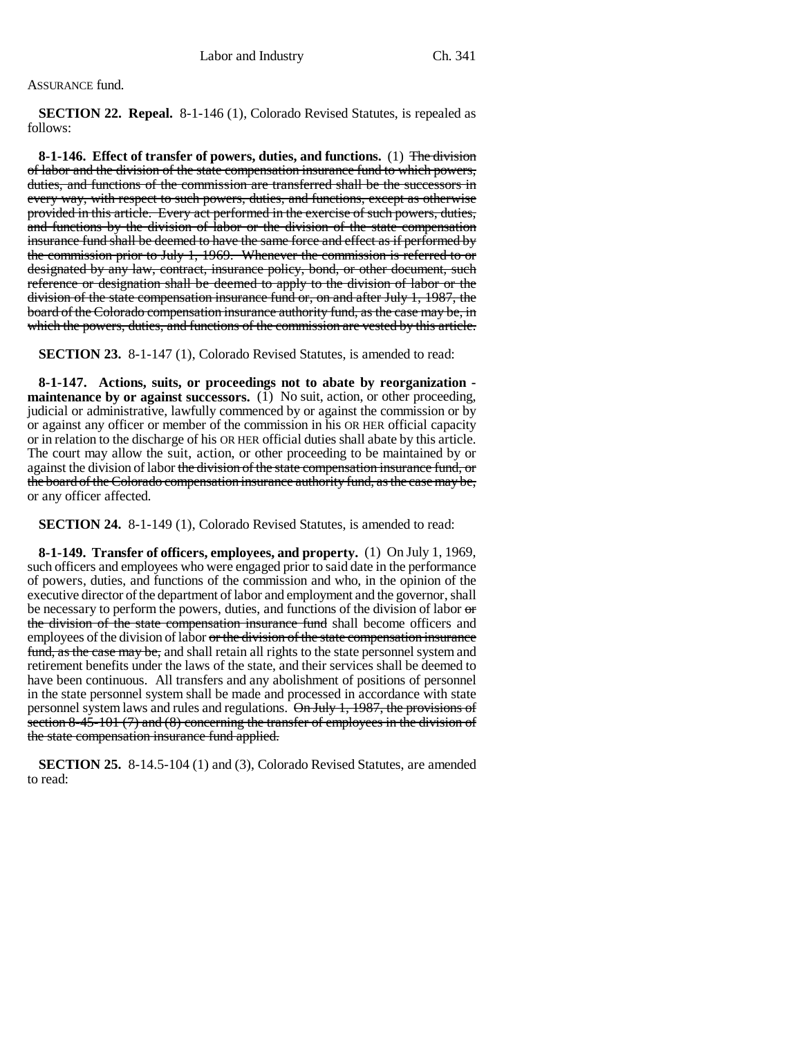#### ASSURANCE fund.

**SECTION 22. Repeal.** 8-1-146 (1), Colorado Revised Statutes, is repealed as follows:

**8-1-146. Effect of transfer of powers, duties, and functions.** (1) The division of labor and the division of the state compensation insurance fund to which powers, duties, and functions of the commission are transferred shall be the successors in every way, with respect to such powers, duties, and functions, except as otherwise provided in this article. Every act performed in the exercise of such powers, duties, and functions by the division of labor or the division of the state compensation insurance fund shall be deemed to have the same force and effect as if performed by the commission prior to July 1, 1969. Whenever the commission is referred to or designated by any law, contract, insurance policy, bond, or other document, such reference or designation shall be deemed to apply to the division of labor or the division of the state compensation insurance fund or, on and after July 1, 1987, the board of the Colorado compensation insurance authority fund, as the case may be, in which the powers, duties, and functions of the commission are vested by this article.

**SECTION 23.** 8-1-147 (1), Colorado Revised Statutes, is amended to read:

**8-1-147. Actions, suits, or proceedings not to abate by reorganization maintenance by or against successors.** (1) No suit, action, or other proceeding, judicial or administrative, lawfully commenced by or against the commission or by or against any officer or member of the commission in his OR HER official capacity or in relation to the discharge of his OR HER official duties shall abate by this article. The court may allow the suit, action, or other proceeding to be maintained by or against the division of labor the division of the state compensation insurance fund, or the board of the Colorado compensation insurance authority fund, as the case may be, or any officer affected.

**SECTION 24.** 8-1-149 (1), Colorado Revised Statutes, is amended to read:

**8-1-149. Transfer of officers, employees, and property.** (1) On July 1, 1969, such officers and employees who were engaged prior to said date in the performance of powers, duties, and functions of the commission and who, in the opinion of the executive director of the department of labor and employment and the governor, shall be necessary to perform the powers, duties, and functions of the division of labor  $\sigma$ the division of the state compensation insurance fund shall become officers and employees of the division of labor or the division of the state compensation insurance fund, as the case may be, and shall retain all rights to the state personnel system and retirement benefits under the laws of the state, and their services shall be deemed to have been continuous. All transfers and any abolishment of positions of personnel in the state personnel system shall be made and processed in accordance with state personnel system laws and rules and regulations. On July 1, 1987, the provisions of section 8-45-101 (7) and (8) concerning the transfer of employees in the division of the state compensation insurance fund applied.

**SECTION 25.** 8-14.5-104 (1) and (3), Colorado Revised Statutes, are amended to read: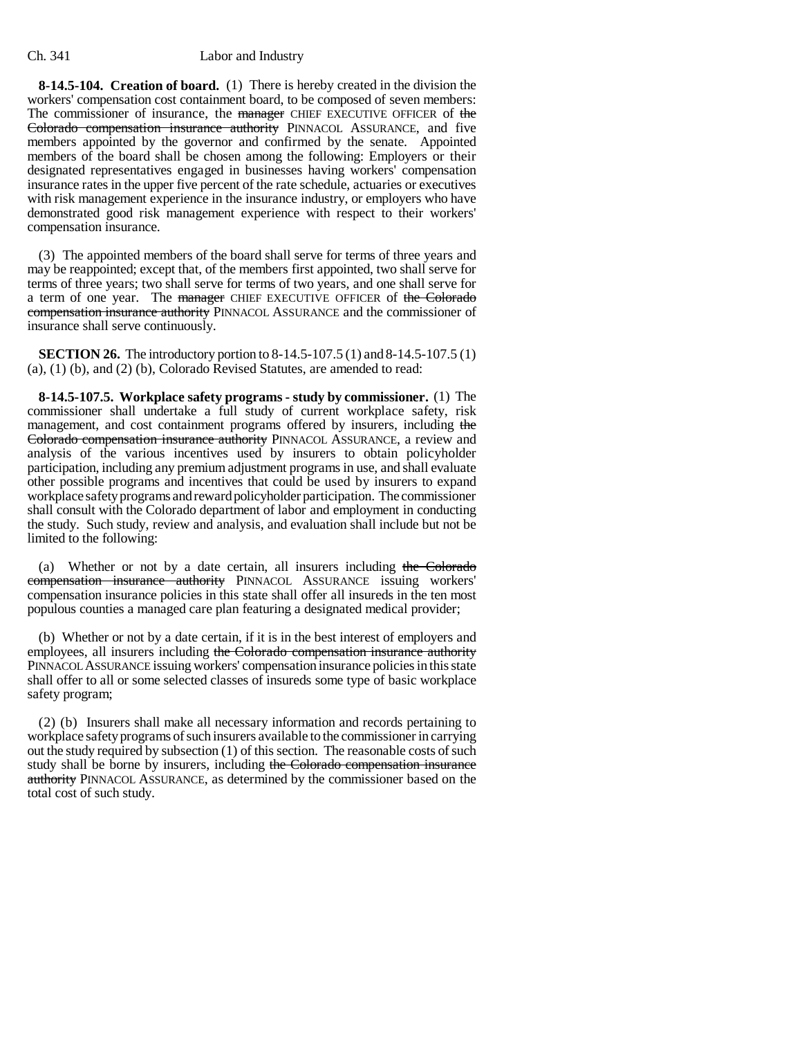**8-14.5-104. Creation of board.** (1) There is hereby created in the division the workers' compensation cost containment board, to be composed of seven members: The commissioner of insurance, the manager CHIEF EXECUTIVE OFFICER of the Colorado compensation insurance authority PINNACOL ASSURANCE, and five members appointed by the governor and confirmed by the senate. Appointed members of the board shall be chosen among the following: Employers or their designated representatives engaged in businesses having workers' compensation insurance rates in the upper five percent of the rate schedule, actuaries or executives with risk management experience in the insurance industry, or employers who have demonstrated good risk management experience with respect to their workers' compensation insurance.

(3) The appointed members of the board shall serve for terms of three years and may be reappointed; except that, of the members first appointed, two shall serve for terms of three years; two shall serve for terms of two years, and one shall serve for a term of one year. The manager CHIEF EXECUTIVE OFFICER of the Colorado compensation insurance authority PINNACOL ASSURANCE and the commissioner of insurance shall serve continuously.

**SECTION 26.** The introductory portion to 8-14.5-107.5 (1) and 8-14.5-107.5 (1) (a), (1) (b), and (2) (b), Colorado Revised Statutes, are amended to read:

**8-14.5-107.5. Workplace safety programs - study by commissioner.** (1) The commissioner shall undertake a full study of current workplace safety, risk management, and cost containment programs offered by insurers, including the Colorado compensation insurance authority PINNACOL ASSURANCE, a review and analysis of the various incentives used by insurers to obtain policyholder participation, including any premium adjustment programs in use, and shall evaluate other possible programs and incentives that could be used by insurers to expand workplace safety programs and reward policyholder participation. The commissioner shall consult with the Colorado department of labor and employment in conducting the study. Such study, review and analysis, and evaluation shall include but not be limited to the following:

(a) Whether or not by a date certain, all insurers including the Colorado compensation insurance authority PINNACOL ASSURANCE issuing workers' compensation insurance policies in this state shall offer all insureds in the ten most populous counties a managed care plan featuring a designated medical provider;

(b) Whether or not by a date certain, if it is in the best interest of employers and employees, all insurers including the Colorado compensation insurance authority PINNACOL ASSURANCE issuing workers' compensation insurance policies in this state shall offer to all or some selected classes of insureds some type of basic workplace safety program;

(2) (b) Insurers shall make all necessary information and records pertaining to workplace safety programs of such insurers available to the commissioner in carrying out the study required by subsection (1) of this section. The reasonable costs of such study shall be borne by insurers, including the Colorado compensation insurance authority PINNACOL ASSURANCE, as determined by the commissioner based on the total cost of such study.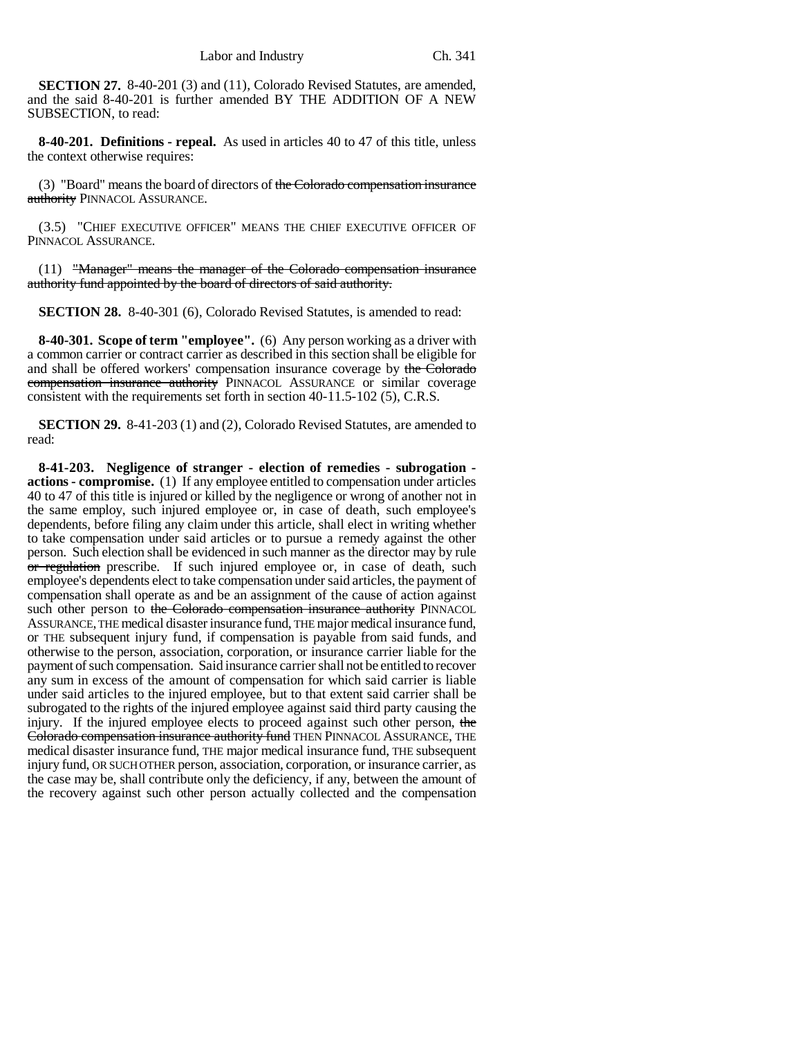**SECTION 27.** 8-40-201 (3) and (11), Colorado Revised Statutes, are amended, and the said 8-40-201 is further amended BY THE ADDITION OF A NEW SUBSECTION, to read:

**8-40-201. Definitions - repeal.** As used in articles 40 to 47 of this title, unless the context otherwise requires:

(3) "Board" means the board of directors of the Colorado compensation insurance authority PINNACOL ASSURANCE.

(3.5) "CHIEF EXECUTIVE OFFICER" MEANS THE CHIEF EXECUTIVE OFFICER OF PINNACOL ASSURANCE.

(11) "Manager" means the manager of the Colorado compensation insurance authority fund appointed by the board of directors of said authority.

**SECTION 28.** 8-40-301 (6), Colorado Revised Statutes, is amended to read:

**8-40-301. Scope of term "employee".** (6) Any person working as a driver with a common carrier or contract carrier as described in this section shall be eligible for and shall be offered workers' compensation insurance coverage by the Colorado compensation insurance authority PINNACOL ASSURANCE or similar coverage consistent with the requirements set forth in section 40-11.5-102 (5), C.R.S.

**SECTION 29.** 8-41-203 (1) and (2), Colorado Revised Statutes, are amended to read:

**8-41-203. Negligence of stranger - election of remedies - subrogation actions - compromise.** (1) If any employee entitled to compensation under articles 40 to 47 of this title is injured or killed by the negligence or wrong of another not in the same employ, such injured employee or, in case of death, such employee's dependents, before filing any claim under this article, shall elect in writing whether to take compensation under said articles or to pursue a remedy against the other person. Such election shall be evidenced in such manner as the director may by rule or regulation prescribe. If such injured employee or, in case of death, such employee's dependents elect to take compensation under said articles, the payment of compensation shall operate as and be an assignment of the cause of action against such other person to the Colorado compensation insurance authority PINNACOL ASSURANCE, THE medical disaster insurance fund, THE major medical insurance fund, or THE subsequent injury fund, if compensation is payable from said funds, and otherwise to the person, association, corporation, or insurance carrier liable for the payment of such compensation. Said insurance carrier shall not be entitled to recover any sum in excess of the amount of compensation for which said carrier is liable under said articles to the injured employee, but to that extent said carrier shall be subrogated to the rights of the injured employee against said third party causing the injury. If the injured employee elects to proceed against such other person, the Colorado compensation insurance authority fund THEN PINNACOL ASSURANCE, THE medical disaster insurance fund, THE major medical insurance fund, THE subsequent injury fund, OR SUCH OTHER person, association, corporation, or insurance carrier, as the case may be, shall contribute only the deficiency, if any, between the amount of the recovery against such other person actually collected and the compensation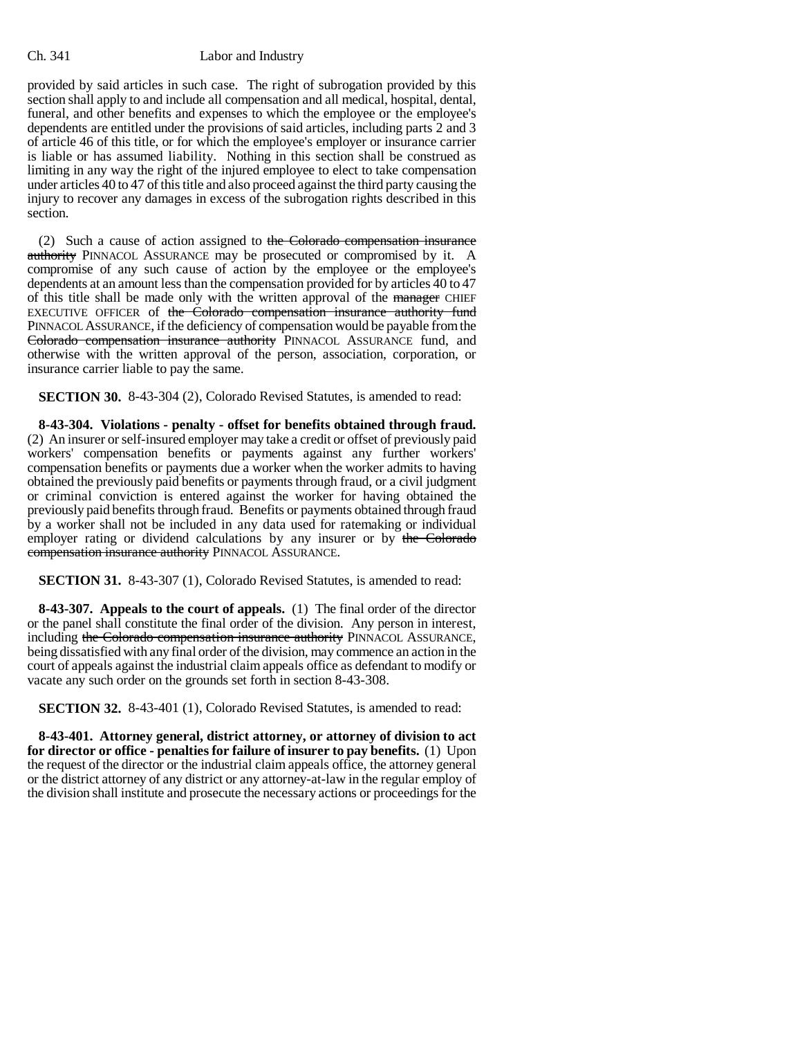provided by said articles in such case. The right of subrogation provided by this section shall apply to and include all compensation and all medical, hospital, dental, funeral, and other benefits and expenses to which the employee or the employee's dependents are entitled under the provisions of said articles, including parts 2 and 3 of article 46 of this title, or for which the employee's employer or insurance carrier is liable or has assumed liability. Nothing in this section shall be construed as limiting in any way the right of the injured employee to elect to take compensation under articles 40 to 47 of this title and also proceed against the third party causing the injury to recover any damages in excess of the subrogation rights described in this section.

(2) Such a cause of action assigned to the Colorado compensation insurance authority PINNACOL ASSURANCE may be prosecuted or compromised by it. A compromise of any such cause of action by the employee or the employee's dependents at an amount less than the compensation provided for by articles 40 to 47 of this title shall be made only with the written approval of the manager CHIEF EXECUTIVE OFFICER of the Colorado compensation insurance authority fund PINNACOL ASSURANCE, if the deficiency of compensation would be payable from the Colorado compensation insurance authority PINNACOL ASSURANCE fund, and otherwise with the written approval of the person, association, corporation, or insurance carrier liable to pay the same.

**SECTION 30.** 8-43-304 (2), Colorado Revised Statutes, is amended to read:

**8-43-304. Violations - penalty - offset for benefits obtained through fraud.** (2) An insurer or self-insured employer may take a credit or offset of previously paid workers' compensation benefits or payments against any further workers' compensation benefits or payments due a worker when the worker admits to having obtained the previously paid benefits or payments through fraud, or a civil judgment or criminal conviction is entered against the worker for having obtained the previously paid benefits through fraud. Benefits or payments obtained through fraud by a worker shall not be included in any data used for ratemaking or individual employer rating or dividend calculations by any insurer or by the Colorado compensation insurance authority PINNACOL ASSURANCE.

**SECTION 31.** 8-43-307 (1), Colorado Revised Statutes, is amended to read:

**8-43-307. Appeals to the court of appeals.** (1) The final order of the director or the panel shall constitute the final order of the division. Any person in interest, including the Colorado compensation insurance authority PINNACOL ASSURANCE, being dissatisfied with any final order of the division, may commence an action in the court of appeals against the industrial claim appeals office as defendant to modify or vacate any such order on the grounds set forth in section 8-43-308.

**SECTION 32.** 8-43-401 (1), Colorado Revised Statutes, is amended to read:

**8-43-401. Attorney general, district attorney, or attorney of division to act for director or office - penalties for failure of insurer to pay benefits.** (1) Upon the request of the director or the industrial claim appeals office, the attorney general or the district attorney of any district or any attorney-at-law in the regular employ of the division shall institute and prosecute the necessary actions or proceedings for the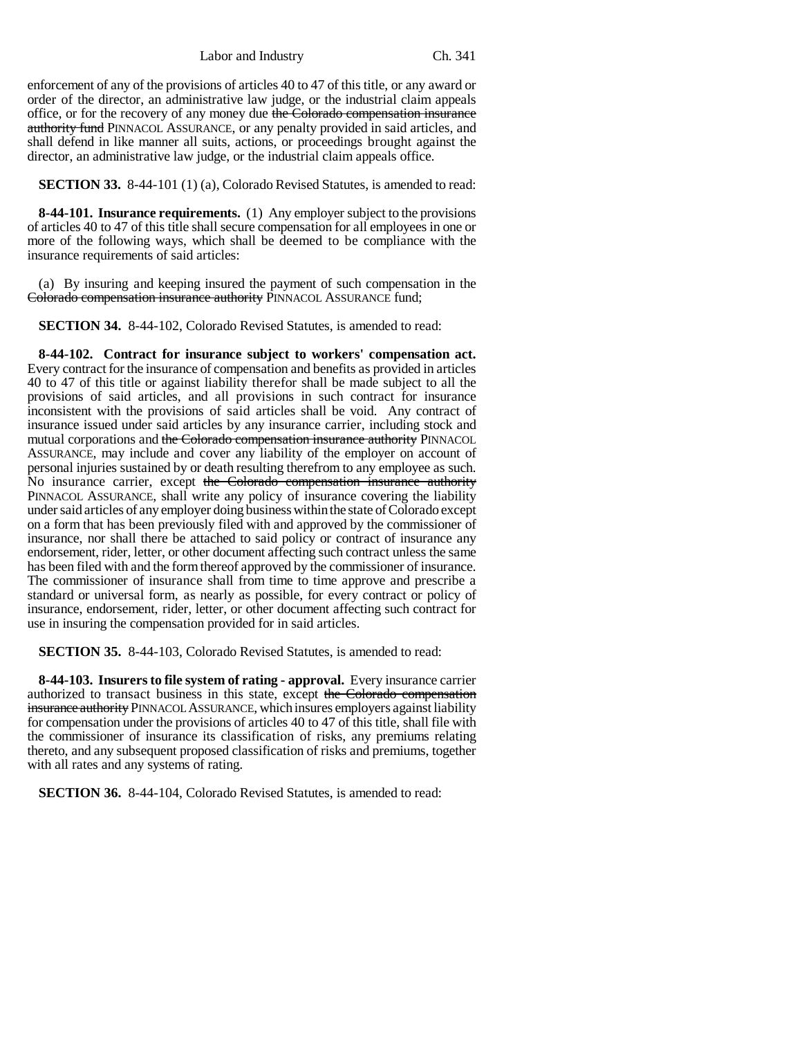enforcement of any of the provisions of articles 40 to 47 of this title, or any award or order of the director, an administrative law judge, or the industrial claim appeals office, or for the recovery of any money due the Colorado compensation insurance authority fund PINNACOL ASSURANCE, or any penalty provided in said articles, and shall defend in like manner all suits, actions, or proceedings brought against the director, an administrative law judge, or the industrial claim appeals office.

**SECTION 33.** 8-44-101 (1) (a), Colorado Revised Statutes, is amended to read:

**8-44-101. Insurance requirements.** (1) Any employer subject to the provisions of articles 40 to 47 of this title shall secure compensation for all employees in one or more of the following ways, which shall be deemed to be compliance with the insurance requirements of said articles:

(a) By insuring and keeping insured the payment of such compensation in the Colorado compensation insurance authority PINNACOL ASSURANCE fund;

**SECTION 34.** 8-44-102, Colorado Revised Statutes, is amended to read:

**8-44-102. Contract for insurance subject to workers' compensation act.** Every contract for the insurance of compensation and benefits as provided in articles 40 to 47 of this title or against liability therefor shall be made subject to all the provisions of said articles, and all provisions in such contract for insurance inconsistent with the provisions of said articles shall be void. Any contract of insurance issued under said articles by any insurance carrier, including stock and mutual corporations and the Colorado compensation insurance authority PINNACOL ASSURANCE, may include and cover any liability of the employer on account of personal injuries sustained by or death resulting therefrom to any employee as such. No insurance carrier, except the Colorado compensation insurance authority PINNACOL ASSURANCE, shall write any policy of insurance covering the liability under said articles of any employer doing business within the state of Colorado except on a form that has been previously filed with and approved by the commissioner of insurance, nor shall there be attached to said policy or contract of insurance any endorsement, rider, letter, or other document affecting such contract unless the same has been filed with and the form thereof approved by the commissioner of insurance. The commissioner of insurance shall from time to time approve and prescribe a standard or universal form, as nearly as possible, for every contract or policy of insurance, endorsement, rider, letter, or other document affecting such contract for use in insuring the compensation provided for in said articles.

**SECTION 35.** 8-44-103, Colorado Revised Statutes, is amended to read:

**8-44-103. Insurers to file system of rating - approval.** Every insurance carrier authorized to transact business in this state, except the Colorado compensation insurance authority PINNACOL ASSURANCE, which insures employers against liability for compensation under the provisions of articles 40 to 47 of this title, shall file with the commissioner of insurance its classification of risks, any premiums relating thereto, and any subsequent proposed classification of risks and premiums, together with all rates and any systems of rating.

**SECTION 36.** 8-44-104, Colorado Revised Statutes, is amended to read: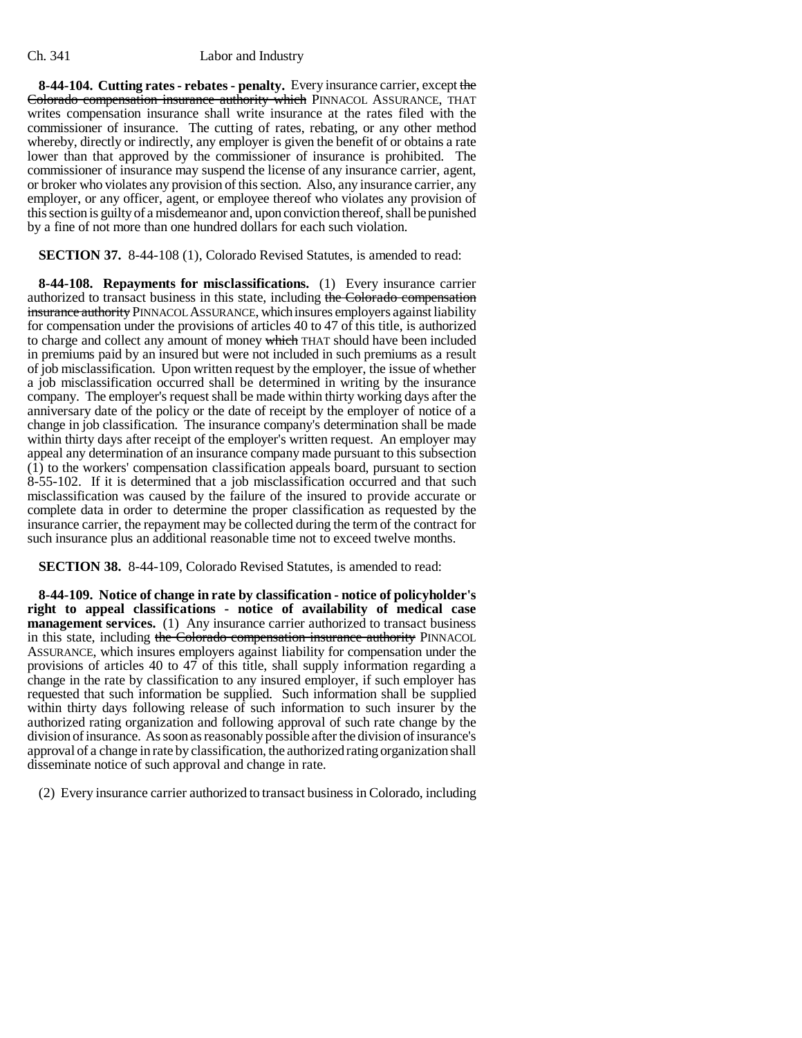**8-44-104. Cutting rates - rebates - penalty.** Every insurance carrier, except the Colorado compensation insurance authority which PINNACOL ASSURANCE, THAT writes compensation insurance shall write insurance at the rates filed with the commissioner of insurance. The cutting of rates, rebating, or any other method whereby, directly or indirectly, any employer is given the benefit of or obtains a rate lower than that approved by the commissioner of insurance is prohibited. The commissioner of insurance may suspend the license of any insurance carrier, agent, or broker who violates any provision of this section. Also, any insurance carrier, any employer, or any officer, agent, or employee thereof who violates any provision of this section is guilty of a misdemeanor and, upon conviction thereof, shall be punished by a fine of not more than one hundred dollars for each such violation.

**SECTION 37.** 8-44-108 (1), Colorado Revised Statutes, is amended to read:

**8-44-108. Repayments for misclassifications.** (1) Every insurance carrier authorized to transact business in this state, including the Colorado compensation insurance authority PINNACOL ASSURANCE, which insures employers against liability for compensation under the provisions of articles 40 to 47 of this title, is authorized to charge and collect any amount of money which THAT should have been included in premiums paid by an insured but were not included in such premiums as a result of job misclassification. Upon written request by the employer, the issue of whether a job misclassification occurred shall be determined in writing by the insurance company. The employer's request shall be made within thirty working days after the anniversary date of the policy or the date of receipt by the employer of notice of a change in job classification. The insurance company's determination shall be made within thirty days after receipt of the employer's written request. An employer may appeal any determination of an insurance company made pursuant to this subsection (1) to the workers' compensation classification appeals board, pursuant to section 8-55-102. If it is determined that a job misclassification occurred and that such misclassification was caused by the failure of the insured to provide accurate or complete data in order to determine the proper classification as requested by the insurance carrier, the repayment may be collected during the term of the contract for such insurance plus an additional reasonable time not to exceed twelve months.

**SECTION 38.** 8-44-109, Colorado Revised Statutes, is amended to read:

**8-44-109. Notice of change in rate by classification - notice of policyholder's right to appeal classifications - notice of availability of medical case management services.** (1) Any insurance carrier authorized to transact business in this state, including the Colorado compensation insurance authority PINNACOL ASSURANCE, which insures employers against liability for compensation under the provisions of articles 40 to 47 of this title, shall supply information regarding a change in the rate by classification to any insured employer, if such employer has requested that such information be supplied. Such information shall be supplied within thirty days following release of such information to such insurer by the authorized rating organization and following approval of such rate change by the division of insurance. As soon as reasonably possible after the division of insurance's approval of a change in rate by classification, the authorized rating organization shall disseminate notice of such approval and change in rate.

(2) Every insurance carrier authorized to transact business in Colorado, including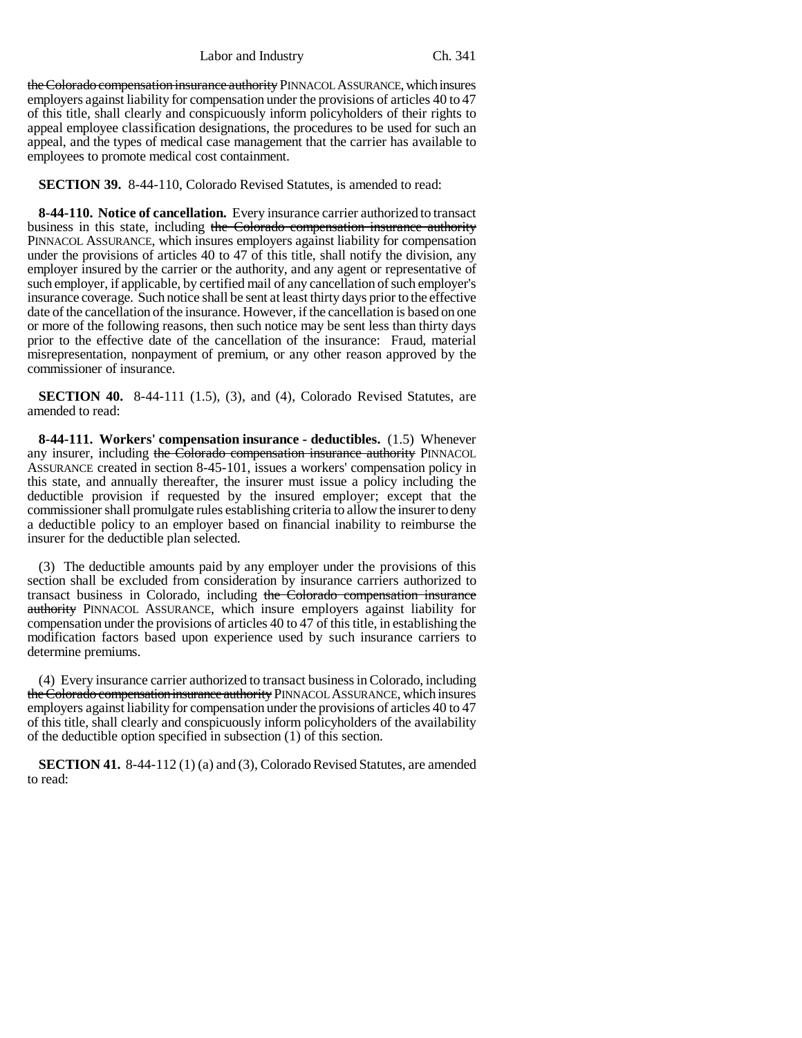the Colorado compensation insurance authority PINNACOL ASSURANCE, which insures employers against liability for compensation under the provisions of articles 40 to 47 of this title, shall clearly and conspicuously inform policyholders of their rights to appeal employee classification designations, the procedures to be used for such an appeal, and the types of medical case management that the carrier has available to employees to promote medical cost containment.

**SECTION 39.** 8-44-110, Colorado Revised Statutes, is amended to read:

**8-44-110. Notice of cancellation.** Every insurance carrier authorized to transact business in this state, including the Colorado compensation insurance authority PINNACOL ASSURANCE, which insures employers against liability for compensation under the provisions of articles 40 to 47 of this title, shall notify the division, any employer insured by the carrier or the authority, and any agent or representative of such employer, if applicable, by certified mail of any cancellation of such employer's insurance coverage. Such notice shall be sent at least thirty days prior to the effective date of the cancellation of the insurance. However, if the cancellation is based on one or more of the following reasons, then such notice may be sent less than thirty days prior to the effective date of the cancellation of the insurance: Fraud, material misrepresentation, nonpayment of premium, or any other reason approved by the commissioner of insurance.

**SECTION 40.** 8-44-111 (1.5), (3), and (4), Colorado Revised Statutes, are amended to read:

**8-44-111. Workers' compensation insurance - deductibles.** (1.5) Whenever any insurer, including the Colorado compensation insurance authority PINNACOL ASSURANCE created in section 8-45-101, issues a workers' compensation policy in this state, and annually thereafter, the insurer must issue a policy including the deductible provision if requested by the insured employer; except that the commissioner shall promulgate rules establishing criteria to allow the insurer to deny a deductible policy to an employer based on financial inability to reimburse the insurer for the deductible plan selected.

(3) The deductible amounts paid by any employer under the provisions of this section shall be excluded from consideration by insurance carriers authorized to transact business in Colorado, including the Colorado compensation insurance authority PINNACOL ASSURANCE, which insure employers against liability for compensation under the provisions of articles 40 to 47 of this title, in establishing the modification factors based upon experience used by such insurance carriers to determine premiums.

(4) Every insurance carrier authorized to transact business in Colorado, including the Colorado compensation insurance authority PINNACOL ASSURANCE, which insures employers against liability for compensation under the provisions of articles 40 to 47 of this title, shall clearly and conspicuously inform policyholders of the availability of the deductible option specified in subsection (1) of this section.

**SECTION 41.** 8-44-112 (1) (a) and (3), Colorado Revised Statutes, are amended to read: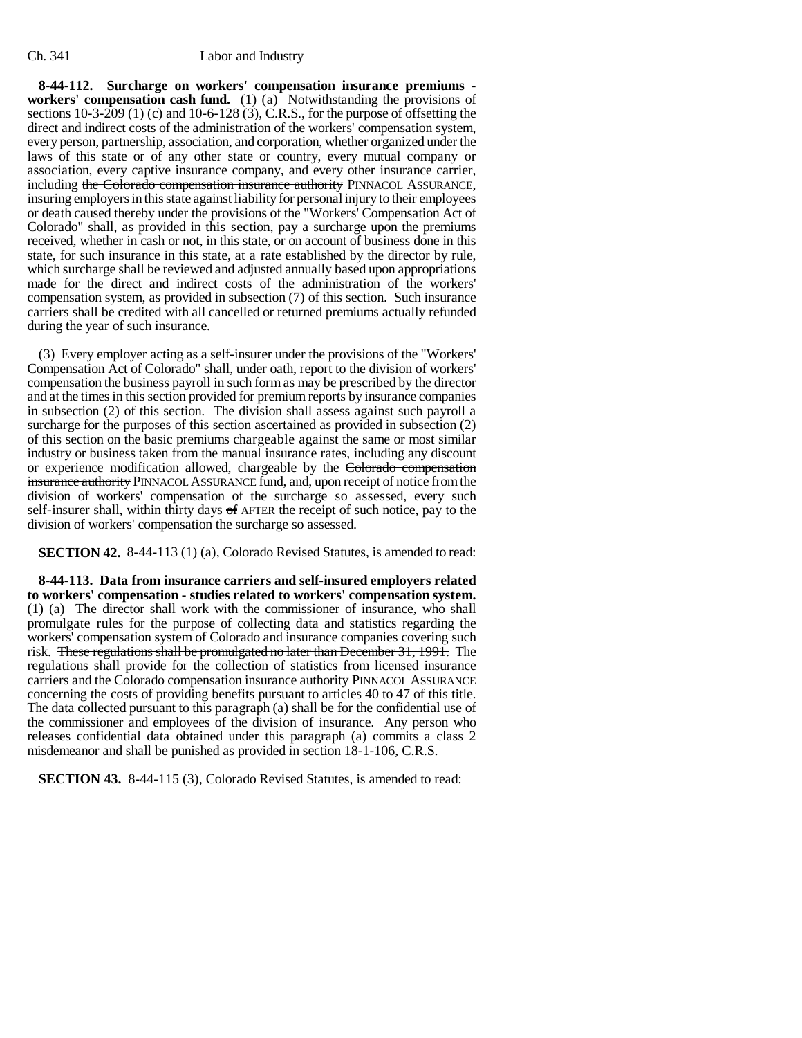**8-44-112. Surcharge on workers' compensation insurance premiums workers' compensation cash fund.** (1) (a) Notwithstanding the provisions of sections 10-3-209 (1) (c) and 10-6-128 (3), C.R.S., for the purpose of offsetting the direct and indirect costs of the administration of the workers' compensation system, every person, partnership, association, and corporation, whether organized under the laws of this state or of any other state or country, every mutual company or association, every captive insurance company, and every other insurance carrier, including the Colorado compensation insurance authority PINNACOL ASSURANCE, insuring employers in this state against liability for personal injury to their employees or death caused thereby under the provisions of the "Workers' Compensation Act of Colorado" shall, as provided in this section, pay a surcharge upon the premiums received, whether in cash or not, in this state, or on account of business done in this state, for such insurance in this state, at a rate established by the director by rule, which surcharge shall be reviewed and adjusted annually based upon appropriations made for the direct and indirect costs of the administration of the workers' compensation system, as provided in subsection (7) of this section. Such insurance carriers shall be credited with all cancelled or returned premiums actually refunded during the year of such insurance.

(3) Every employer acting as a self-insurer under the provisions of the "Workers' Compensation Act of Colorado" shall, under oath, report to the division of workers' compensation the business payroll in such form as may be prescribed by the director and at the times in this section provided for premium reports by insurance companies in subsection (2) of this section. The division shall assess against such payroll a surcharge for the purposes of this section ascertained as provided in subsection (2) of this section on the basic premiums chargeable against the same or most similar industry or business taken from the manual insurance rates, including any discount or experience modification allowed, chargeable by the Colorado compensation insurance authority PINNACOL ASSURANCE fund, and, upon receipt of notice from the division of workers' compensation of the surcharge so assessed, every such self-insurer shall, within thirty days of AFTER the receipt of such notice, pay to the division of workers' compensation the surcharge so assessed.

**SECTION 42.** 8-44-113 (1) (a), Colorado Revised Statutes, is amended to read:

**8-44-113. Data from insurance carriers and self-insured employers related to workers' compensation - studies related to workers' compensation system.** (1) (a) The director shall work with the commissioner of insurance, who shall promulgate rules for the purpose of collecting data and statistics regarding the workers' compensation system of Colorado and insurance companies covering such risk. These regulations shall be promulgated no later than December 31, 1991. The regulations shall provide for the collection of statistics from licensed insurance carriers and the Colorado compensation insurance authority PINNACOL ASSURANCE concerning the costs of providing benefits pursuant to articles 40 to 47 of this title. The data collected pursuant to this paragraph (a) shall be for the confidential use of the commissioner and employees of the division of insurance. Any person who releases confidential data obtained under this paragraph (a) commits a class 2 misdemeanor and shall be punished as provided in section 18-1-106, C.R.S.

**SECTION 43.** 8-44-115 (3), Colorado Revised Statutes, is amended to read: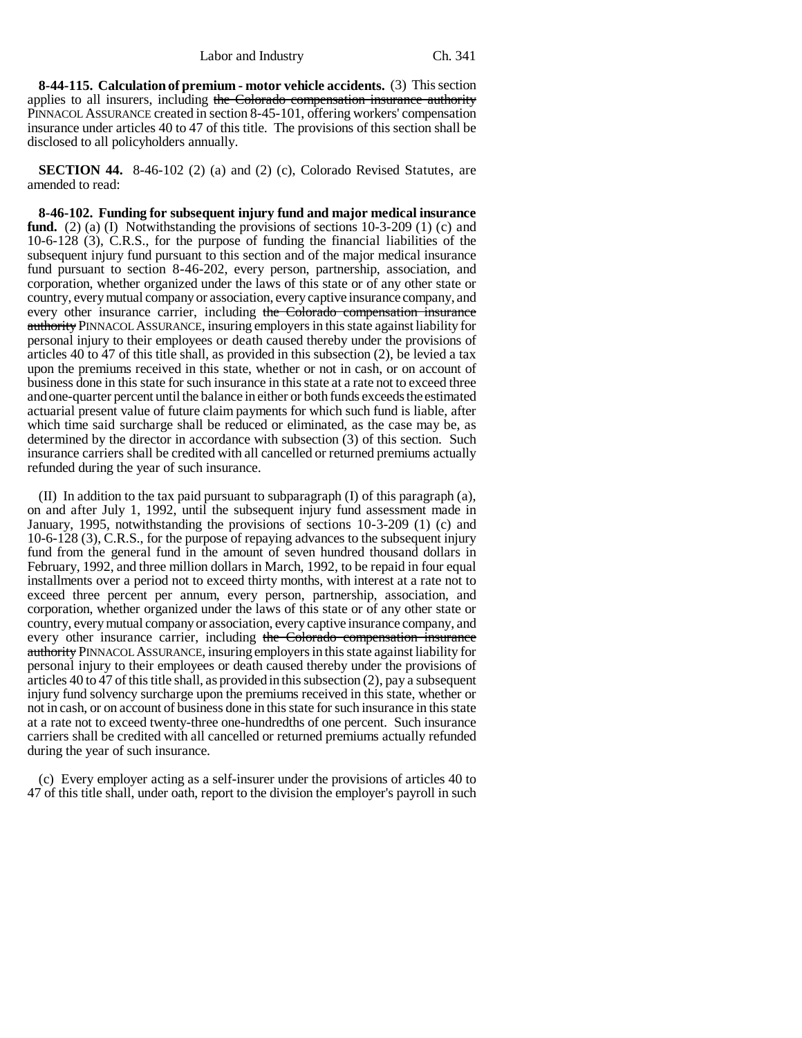**8-44-115. Calculation of premium - motor vehicle accidents.** (3) This section applies to all insurers, including the Colorado compensation insurance authority PINNACOL ASSURANCE created in section 8-45-101, offering workers' compensation insurance under articles 40 to 47 of this title. The provisions of this section shall be disclosed to all policyholders annually.

**SECTION 44.** 8-46-102 (2) (a) and (2) (c), Colorado Revised Statutes, are amended to read:

**8-46-102. Funding for subsequent injury fund and major medical insurance fund.** (2) (a) (I) Notwithstanding the provisions of sections 10-3-209 (1) (c) and 10-6-128 (3), C.R.S., for the purpose of funding the financial liabilities of the subsequent injury fund pursuant to this section and of the major medical insurance fund pursuant to section 8-46-202, every person, partnership, association, and corporation, whether organized under the laws of this state or of any other state or country, every mutual company or association, every captive insurance company, and every other insurance carrier, including the Colorado compensation insurance authority PINNACOL ASSURANCE, insuring employers in this state against liability for personal injury to their employees or death caused thereby under the provisions of articles 40 to 47 of this title shall, as provided in this subsection (2), be levied a tax upon the premiums received in this state, whether or not in cash, or on account of business done in this state for such insurance in this state at a rate not to exceed three and one-quarter percent until the balance in either or both funds exceeds the estimated actuarial present value of future claim payments for which such fund is liable, after which time said surcharge shall be reduced or eliminated, as the case may be, as determined by the director in accordance with subsection (3) of this section. Such insurance carriers shall be credited with all cancelled or returned premiums actually refunded during the year of such insurance.

(II) In addition to the tax paid pursuant to subparagraph (I) of this paragraph (a), on and after July 1, 1992, until the subsequent injury fund assessment made in January, 1995, notwithstanding the provisions of sections 10-3-209 (1) (c) and 10-6-128 (3), C.R.S., for the purpose of repaying advances to the subsequent injury fund from the general fund in the amount of seven hundred thousand dollars in February, 1992, and three million dollars in March, 1992, to be repaid in four equal installments over a period not to exceed thirty months, with interest at a rate not to exceed three percent per annum, every person, partnership, association, and corporation, whether organized under the laws of this state or of any other state or country, every mutual company or association, every captive insurance company, and every other insurance carrier, including the Colorado compensation insurance authority PINNACOL ASSURANCE, insuring employers in this state against liability for personal injury to their employees or death caused thereby under the provisions of articles 40 to 47 of this title shall, as provided in this subsection (2), pay a subsequent injury fund solvency surcharge upon the premiums received in this state, whether or not in cash, or on account of business done in this state for such insurance in this state at a rate not to exceed twenty-three one-hundredths of one percent. Such insurance carriers shall be credited with all cancelled or returned premiums actually refunded during the year of such insurance.

(c) Every employer acting as a self-insurer under the provisions of articles 40 to 47 of this title shall, under oath, report to the division the employer's payroll in such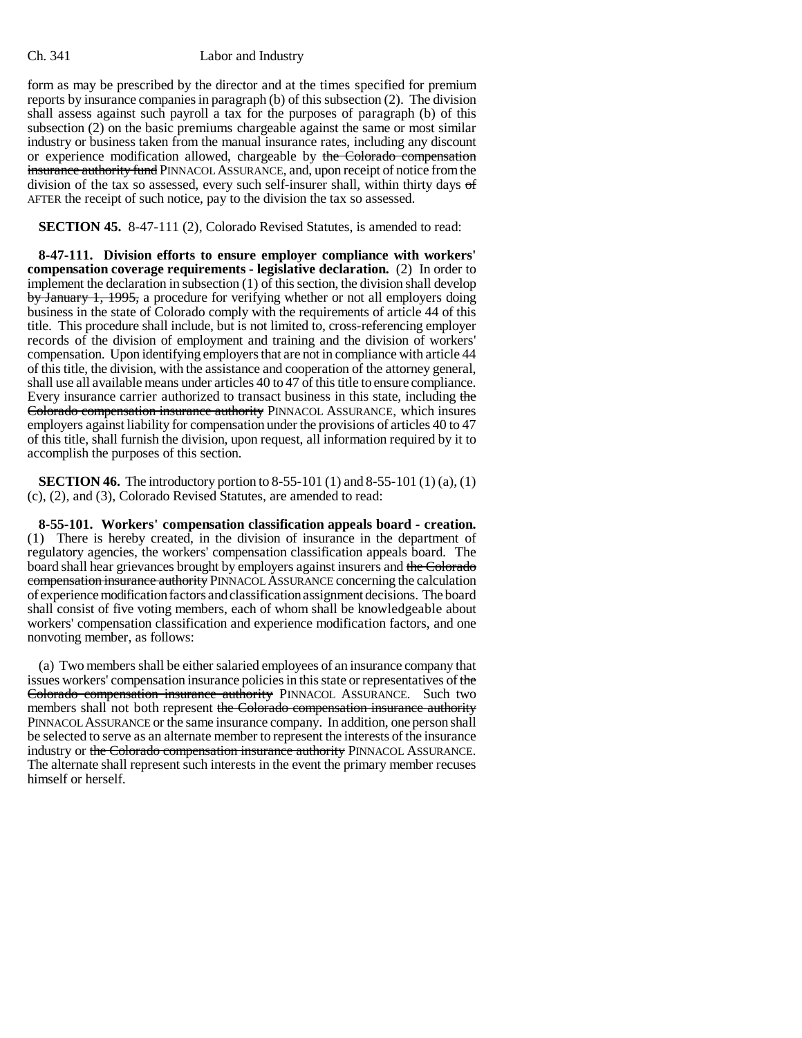form as may be prescribed by the director and at the times specified for premium reports by insurance companies in paragraph (b) of this subsection (2). The division shall assess against such payroll a tax for the purposes of paragraph (b) of this subsection (2) on the basic premiums chargeable against the same or most similar industry or business taken from the manual insurance rates, including any discount or experience modification allowed, chargeable by the Colorado compensation insurance authority fund PINNACOL ASSURANCE, and, upon receipt of notice from the division of the tax so assessed, every such self-insurer shall, within thirty days of AFTER the receipt of such notice, pay to the division the tax so assessed.

#### **SECTION 45.** 8-47-111 (2), Colorado Revised Statutes, is amended to read:

**8-47-111. Division efforts to ensure employer compliance with workers' compensation coverage requirements - legislative declaration.** (2) In order to implement the declaration in subsection (1) of this section, the division shall develop by January 1, 1995, a procedure for verifying whether or not all employers doing business in the state of Colorado comply with the requirements of article 44 of this title. This procedure shall include, but is not limited to, cross-referencing employer records of the division of employment and training and the division of workers' compensation. Upon identifying employers that are not in compliance with article 44 of this title, the division, with the assistance and cooperation of the attorney general, shall use all available means under articles 40 to 47 of this title to ensure compliance. Every insurance carrier authorized to transact business in this state, including the Colorado compensation insurance authority PINNACOL ASSURANCE, which insures employers against liability for compensation under the provisions of articles 40 to 47 of this title, shall furnish the division, upon request, all information required by it to accomplish the purposes of this section.

**SECTION 46.** The introductory portion to 8-55-101 (1) and 8-55-101 (1) (a), (1) (c), (2), and (3), Colorado Revised Statutes, are amended to read:

**8-55-101. Workers' compensation classification appeals board - creation.** (1) There is hereby created, in the division of insurance in the department of regulatory agencies, the workers' compensation classification appeals board. The board shall hear grievances brought by employers against insurers and the Colorado compensation insurance authority PINNACOL ASSURANCE concerning the calculation of experience modification factors and classification assignment decisions. The board shall consist of five voting members, each of whom shall be knowledgeable about workers' compensation classification and experience modification factors, and one nonvoting member, as follows:

(a) Two members shall be either salaried employees of an insurance company that issues workers' compensation insurance policies in this state or representatives of the Colorado compensation insurance authority PINNACOL ASSURANCE. Such two members shall not both represent the Colorado compensation insurance authority PINNACOL ASSURANCE or the same insurance company. In addition, one person shall be selected to serve as an alternate member to represent the interests of the insurance industry or the Colorado compensation insurance authority PINNACOL ASSURANCE. The alternate shall represent such interests in the event the primary member recuses himself or herself.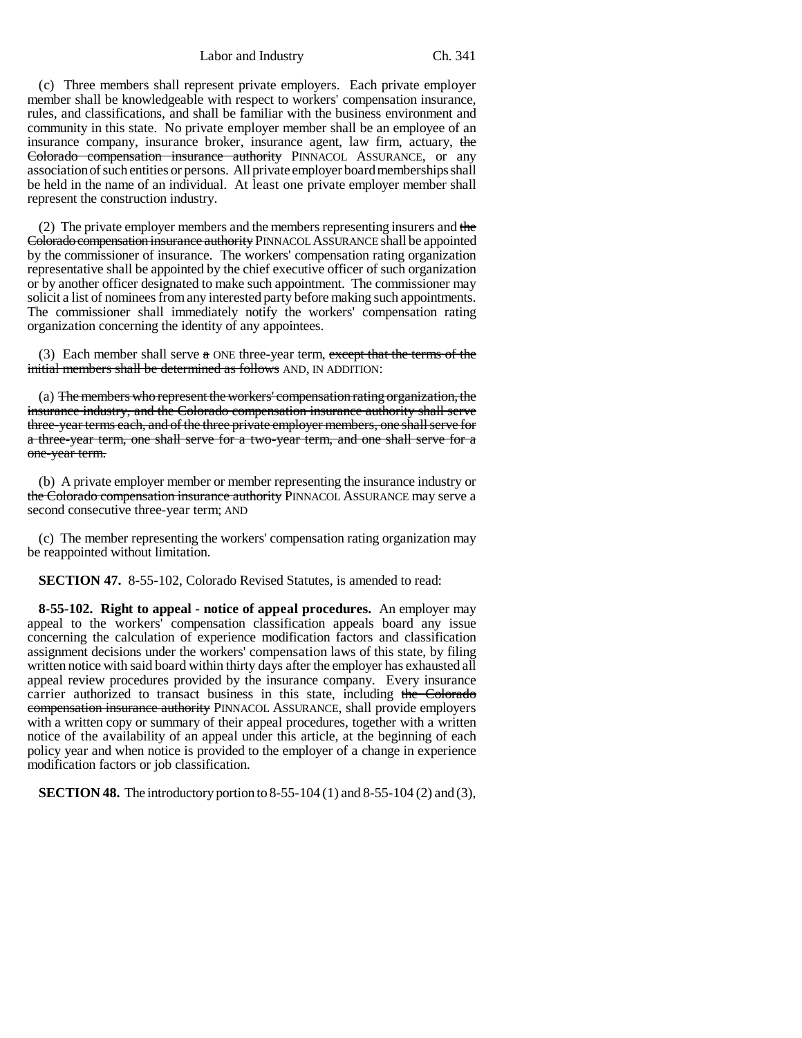(c) Three members shall represent private employers. Each private employer member shall be knowledgeable with respect to workers' compensation insurance, rules, and classifications, and shall be familiar with the business environment and community in this state. No private employer member shall be an employee of an insurance company, insurance broker, insurance agent, law firm, actuary, the Colorado compensation insurance authority PINNACOL ASSURANCE, or any association of such entities or persons. All private employer board memberships shall be held in the name of an individual. At least one private employer member shall represent the construction industry.

(2) The private employer members and the members representing insurers and the Colorado compensation insurance authority PINNACOL ASSURANCE shall be appointed by the commissioner of insurance. The workers' compensation rating organization representative shall be appointed by the chief executive officer of such organization or by another officer designated to make such appointment. The commissioner may solicit a list of nominees from any interested party before making such appointments. The commissioner shall immediately notify the workers' compensation rating organization concerning the identity of any appointees.

(3) Each member shall serve  $\alpha$  ONE three-year term, except that the terms of the initial members shall be determined as follows AND, IN ADDITION:

(a) The members who represent the workers' compensation rating organization, the insurance industry, and the Colorado compensation insurance authority shall serve three-year terms each, and of the three private employer members, one shall serve for a three-year term, one shall serve for a two-year term, and one shall serve for a one-year term.

(b) A private employer member or member representing the insurance industry or the Colorado compensation insurance authority PINNACOL ASSURANCE may serve a second consecutive three-year term; AND

(c) The member representing the workers' compensation rating organization may be reappointed without limitation.

**SECTION 47.** 8-55-102, Colorado Revised Statutes, is amended to read:

**8-55-102. Right to appeal - notice of appeal procedures.** An employer may appeal to the workers' compensation classification appeals board any issue concerning the calculation of experience modification factors and classification assignment decisions under the workers' compensation laws of this state, by filing written notice with said board within thirty days after the employer has exhausted all appeal review procedures provided by the insurance company. Every insurance carrier authorized to transact business in this state, including the Colorado compensation insurance authority PINNACOL ASSURANCE, shall provide employers with a written copy or summary of their appeal procedures, together with a written notice of the availability of an appeal under this article, at the beginning of each policy year and when notice is provided to the employer of a change in experience modification factors or job classification.

**SECTION 48.** The introductory portion to 8-55-104 (1) and 8-55-104 (2) and (3),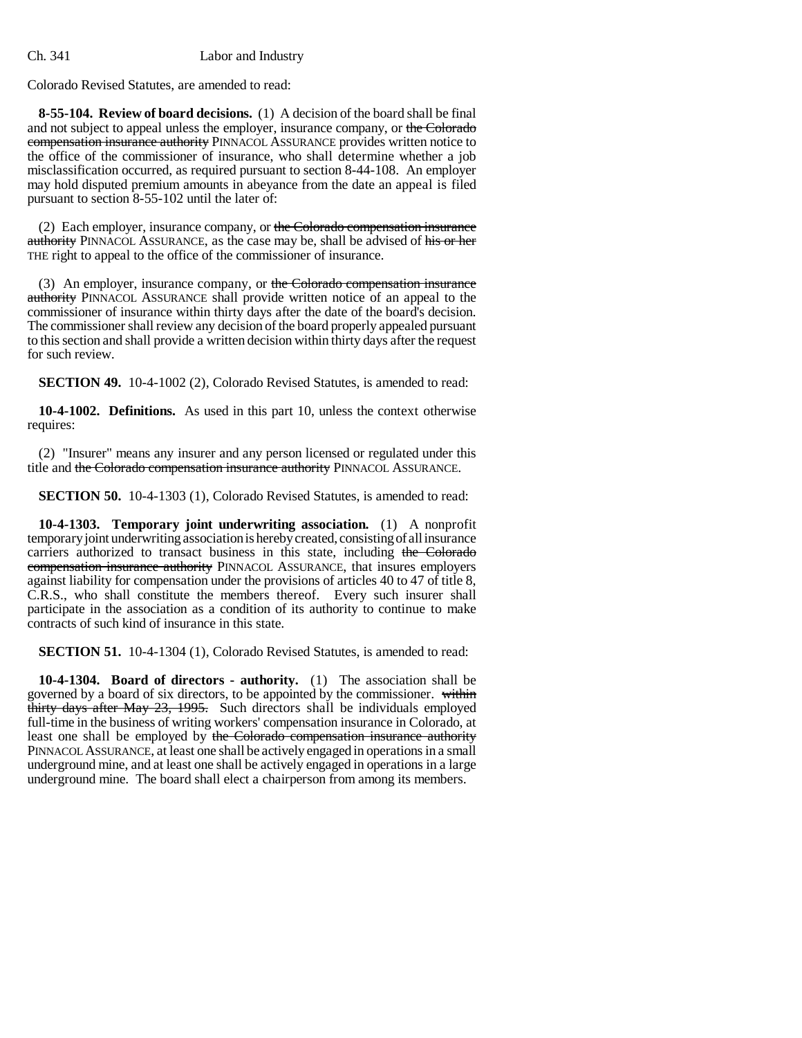Colorado Revised Statutes, are amended to read:

**8-55-104. Review of board decisions.** (1) A decision of the board shall be final and not subject to appeal unless the employer, insurance company, or the Colorado compensation insurance authority PINNACOL ASSURANCE provides written notice to the office of the commissioner of insurance, who shall determine whether a job misclassification occurred, as required pursuant to section 8-44-108. An employer may hold disputed premium amounts in abeyance from the date an appeal is filed pursuant to section 8-55-102 until the later of:

(2) Each employer, insurance company, or the Colorado compensation insurance authority PINNACOL ASSURANCE, as the case may be, shall be advised of his or her THE right to appeal to the office of the commissioner of insurance.

(3) An employer, insurance company, or the Colorado compensation insurance authority PINNACOL ASSURANCE shall provide written notice of an appeal to the commissioner of insurance within thirty days after the date of the board's decision. The commissioner shall review any decision of the board properly appealed pursuant to this section and shall provide a written decision within thirty days after the request for such review.

**SECTION 49.** 10-4-1002 (2), Colorado Revised Statutes, is amended to read:

**10-4-1002. Definitions.** As used in this part 10, unless the context otherwise requires:

(2) "Insurer" means any insurer and any person licensed or regulated under this title and the Colorado compensation insurance authority PINNACOL ASSURANCE.

**SECTION 50.** 10-4-1303 (1), Colorado Revised Statutes, is amended to read:

**10-4-1303. Temporary joint underwriting association.** (1) A nonprofit temporary joint underwriting association is hereby created, consisting of all insurance carriers authorized to transact business in this state, including the Colorado compensation insurance authority PINNACOL ASSURANCE, that insures employers against liability for compensation under the provisions of articles 40 to 47 of title 8, C.R.S., who shall constitute the members thereof. Every such insurer shall participate in the association as a condition of its authority to continue to make contracts of such kind of insurance in this state.

**SECTION 51.** 10-4-1304 (1), Colorado Revised Statutes, is amended to read:

**10-4-1304. Board of directors - authority.** (1) The association shall be governed by a board of six directors, to be appointed by the commissioner. within thirty days after May 23, 1995. Such directors shall be individuals employed full-time in the business of writing workers' compensation insurance in Colorado, at least one shall be employed by the Colorado compensation insurance authority PINNACOL ASSURANCE, at least one shall be actively engaged in operations in a small underground mine, and at least one shall be actively engaged in operations in a large underground mine. The board shall elect a chairperson from among its members.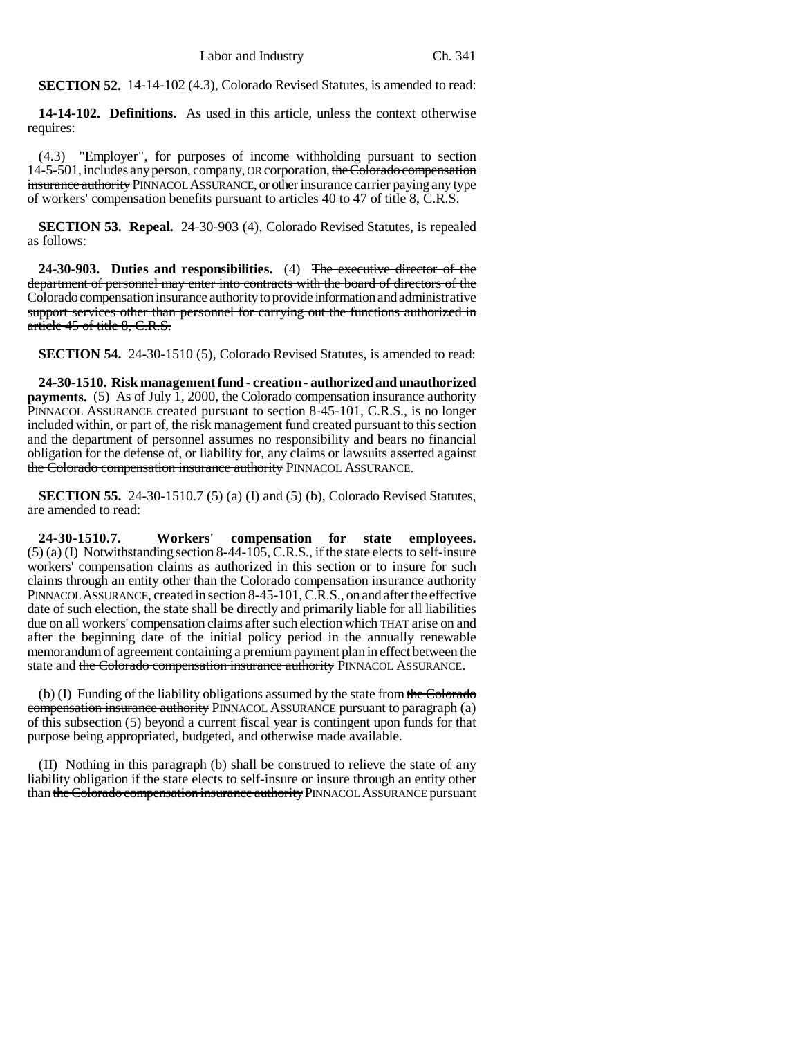**SECTION 52.** 14-14-102 (4.3), Colorado Revised Statutes, is amended to read:

**14-14-102. Definitions.** As used in this article, unless the context otherwise requires:

(4.3) "Employer", for purposes of income withholding pursuant to section 14-5-501, includes any person, company, OR corporation, the Colorado compensation insurance authority PINNACOL ASSURANCE, or other insurance carrier paying any type of workers' compensation benefits pursuant to articles 40 to 47 of title 8, C.R.S.

**SECTION 53. Repeal.** 24-30-903 (4), Colorado Revised Statutes, is repealed as follows:

**24-30-903. Duties and responsibilities.** (4) The executive director of the department of personnel may enter into contracts with the board of directors of the Colorado compensation insurance authority to provide information and administrative support services other than personnel for carrying out the functions authorized in article 45 of title 8, C.R.S.

**SECTION 54.** 24-30-1510 (5), Colorado Revised Statutes, is amended to read:

**24-30-1510. Risk management fund - creation - authorized and unauthorized payments.** (5) As of July 1, 2000, the Colorado compensation insurance authority PINNACOL ASSURANCE created pursuant to section 8-45-101, C.R.S., is no longer included within, or part of, the risk management fund created pursuant to this section and the department of personnel assumes no responsibility and bears no financial obligation for the defense of, or liability for, any claims or lawsuits asserted against the Colorado compensation insurance authority PINNACOL ASSURANCE.

**SECTION 55.** 24-30-1510.7 (5) (a) (I) and (5) (b), Colorado Revised Statutes, are amended to read:

**24-30-1510.7. Workers' compensation for state employees.**  $(5)$  (a) (I) Notwithstanding section 8-44-105, C.R.S., if the state elects to self-insure workers' compensation claims as authorized in this section or to insure for such claims through an entity other than the Colorado compensation insurance authority PINNACOL ASSURANCE, created in section 8-45-101, C.R.S., on and after the effective date of such election, the state shall be directly and primarily liable for all liabilities due on all workers' compensation claims after such election which THAT arise on and after the beginning date of the initial policy period in the annually renewable memorandum of agreement containing a premium payment plan in effect between the state and the Colorado compensation insurance authority PINNACOL ASSURANCE.

(b) (I) Funding of the liability obligations assumed by the state from the Colorado compensation insurance authority PINNACOL ASSURANCE pursuant to paragraph (a) of this subsection (5) beyond a current fiscal year is contingent upon funds for that purpose being appropriated, budgeted, and otherwise made available.

(II) Nothing in this paragraph (b) shall be construed to relieve the state of any liability obligation if the state elects to self-insure or insure through an entity other than the Colorado compensation insurance authority PINNACOL ASSURANCE pursuant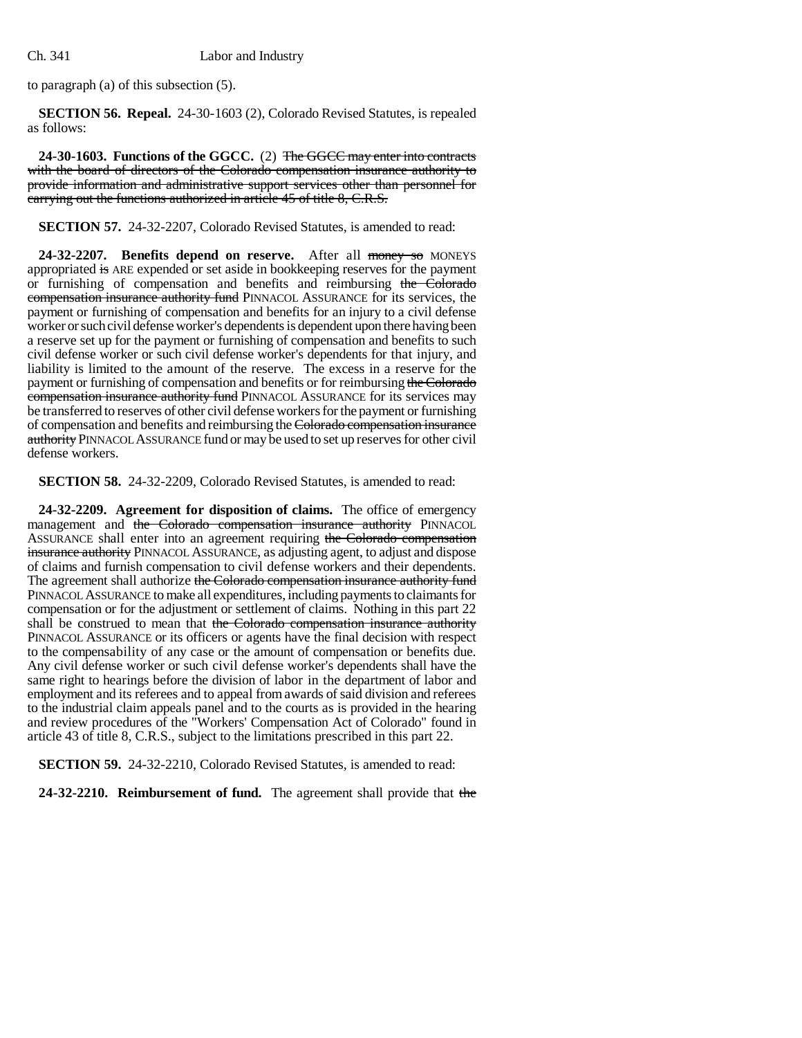to paragraph (a) of this subsection (5).

**SECTION 56. Repeal.** 24-30-1603 (2), Colorado Revised Statutes, is repealed as follows:

**24-30-1603. Functions of the GGCC.** (2) The GGCC may enter into contracts with the board of directors of the Colorado compensation insurance authority to provide information and administrative support services other than personnel for carrying out the functions authorized in article 45 of title 8, C.R.S.

**SECTION 57.** 24-32-2207, Colorado Revised Statutes, is amended to read:

**24-32-2207. Benefits depend on reserve.** After all money so MONEYS appropriated is ARE expended or set aside in bookkeeping reserves for the payment or furnishing of compensation and benefits and reimbursing the Colorado compensation insurance authority fund PINNACOL ASSURANCE for its services, the payment or furnishing of compensation and benefits for an injury to a civil defense worker or such civil defense worker's dependents is dependent upon there having been a reserve set up for the payment or furnishing of compensation and benefits to such civil defense worker or such civil defense worker's dependents for that injury, and liability is limited to the amount of the reserve. The excess in a reserve for the payment or furnishing of compensation and benefits or for reimbursing the Colorado compensation insurance authority fund PINNACOL ASSURANCE for its services may be transferred to reserves of other civil defense workers for the payment or furnishing of compensation and benefits and reimbursing the Colorado compensation insurance authority PINNACOL ASSURANCE fund or may be used to set up reserves for other civil defense workers.

**SECTION 58.** 24-32-2209, Colorado Revised Statutes, is amended to read:

**24-32-2209. Agreement for disposition of claims.** The office of emergency management and the Colorado compensation insurance authority PINNACOL ASSURANCE shall enter into an agreement requiring the Colorado compensation insurance authority PINNACOL ASSURANCE, as adjusting agent, to adjust and dispose of claims and furnish compensation to civil defense workers and their dependents. The agreement shall authorize the Colorado compensation insurance authority fund PINNACOL ASSURANCE to make all expenditures, including payments to claimants for compensation or for the adjustment or settlement of claims. Nothing in this part 22 shall be construed to mean that the Colorado compensation insurance authority PINNACOL ASSURANCE or its officers or agents have the final decision with respect to the compensability of any case or the amount of compensation or benefits due. Any civil defense worker or such civil defense worker's dependents shall have the same right to hearings before the division of labor in the department of labor and employment and its referees and to appeal from awards of said division and referees to the industrial claim appeals panel and to the courts as is provided in the hearing and review procedures of the "Workers' Compensation Act of Colorado" found in article 43 of title 8, C.R.S., subject to the limitations prescribed in this part 22.

**SECTION 59.** 24-32-2210, Colorado Revised Statutes, is amended to read:

**24-32-2210. Reimbursement of fund.** The agreement shall provide that the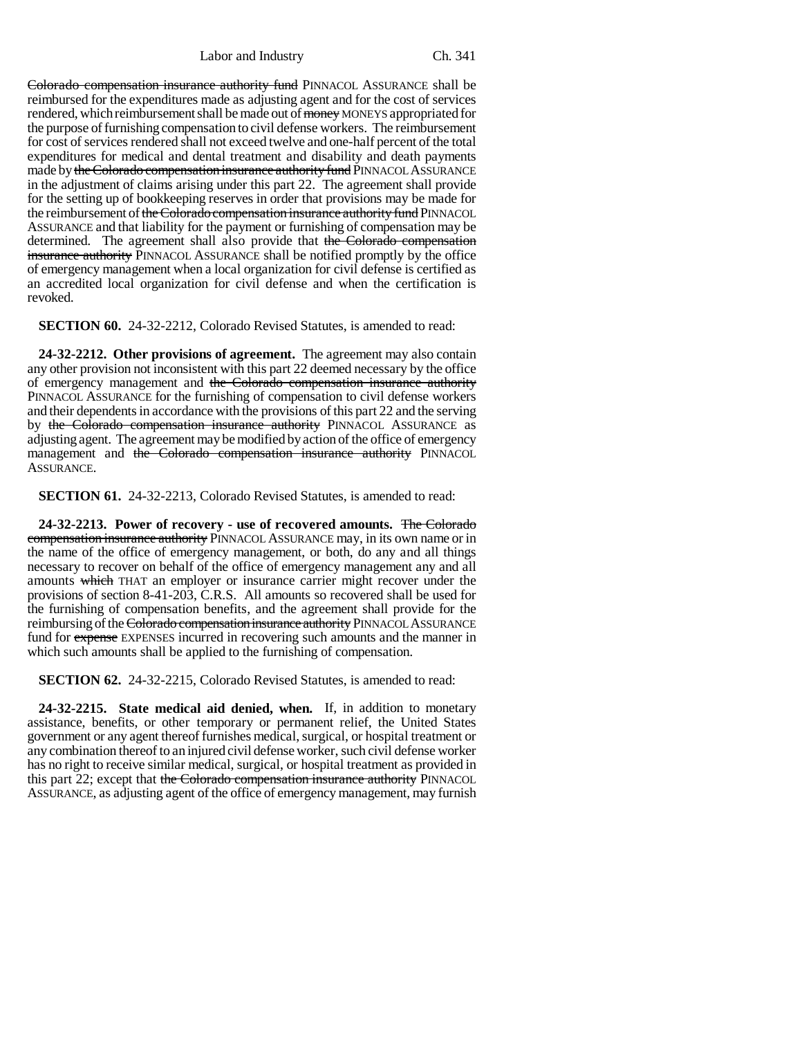Colorado compensation insurance authority fund PINNACOL ASSURANCE shall be reimbursed for the expenditures made as adjusting agent and for the cost of services rendered, which reimbursement shall be made out of money MONEYS appropriated for the purpose of furnishing compensation to civil defense workers. The reimbursement for cost of services rendered shall not exceed twelve and one-half percent of the total expenditures for medical and dental treatment and disability and death payments made by the Colorado compensation insurance authority fund PINNACOL ASSURANCE in the adjustment of claims arising under this part 22. The agreement shall provide for the setting up of bookkeeping reserves in order that provisions may be made for the reimbursement of the Colorado compensation insurance authority fund PINNACOL ASSURANCE and that liability for the payment or furnishing of compensation may be determined. The agreement shall also provide that the Colorado compensation insurance authority PINNACOL ASSURANCE shall be notified promptly by the office of emergency management when a local organization for civil defense is certified as an accredited local organization for civil defense and when the certification is revoked.

**SECTION 60.** 24-32-2212, Colorado Revised Statutes, is amended to read:

**24-32-2212. Other provisions of agreement.** The agreement may also contain any other provision not inconsistent with this part 22 deemed necessary by the office of emergency management and the Colorado compensation insurance authority PINNACOL ASSURANCE for the furnishing of compensation to civil defense workers and their dependents in accordance with the provisions of this part 22 and the serving by the Colorado compensation insurance authority PINNACOL ASSURANCE as adjusting agent. The agreement may be modified by action of the office of emergency management and the Colorado compensation insurance authority PINNACOL ASSURANCE.

**SECTION 61.** 24-32-2213, Colorado Revised Statutes, is amended to read:

**24-32-2213. Power of recovery - use of recovered amounts.** The Colorado compensation insurance authority PINNACOL ASSURANCE may, in its own name or in the name of the office of emergency management, or both, do any and all things necessary to recover on behalf of the office of emergency management any and all amounts which THAT an employer or insurance carrier might recover under the provisions of section 8-41-203, C.R.S. All amounts so recovered shall be used for the furnishing of compensation benefits, and the agreement shall provide for the reimbursing of the Colorado compensation insurance authority PINNACOL ASSURANCE fund for expense EXPENSES incurred in recovering such amounts and the manner in which such amounts shall be applied to the furnishing of compensation.

**SECTION 62.** 24-32-2215, Colorado Revised Statutes, is amended to read:

**24-32-2215. State medical aid denied, when.** If, in addition to monetary assistance, benefits, or other temporary or permanent relief, the United States government or any agent thereof furnishes medical, surgical, or hospital treatment or any combination thereof to an injured civil defense worker, such civil defense worker has no right to receive similar medical, surgical, or hospital treatment as provided in this part 22; except that the Colorado compensation insurance authority PINNACOL ASSURANCE, as adjusting agent of the office of emergency management, may furnish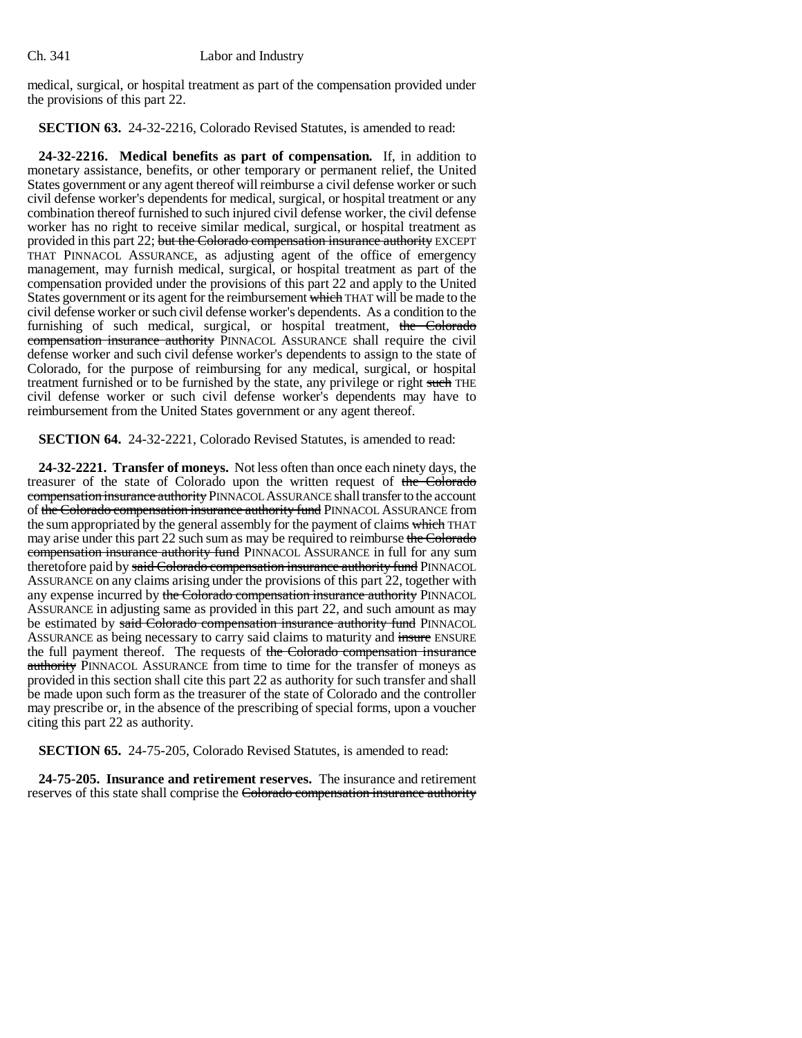medical, surgical, or hospital treatment as part of the compensation provided under the provisions of this part 22.

**SECTION 63.** 24-32-2216, Colorado Revised Statutes, is amended to read:

**24-32-2216. Medical benefits as part of compensation.** If, in addition to monetary assistance, benefits, or other temporary or permanent relief, the United States government or any agent thereof will reimburse a civil defense worker or such civil defense worker's dependents for medical, surgical, or hospital treatment or any combination thereof furnished to such injured civil defense worker, the civil defense worker has no right to receive similar medical, surgical, or hospital treatment as provided in this part 22; but the Colorado compensation insurance authority EXCEPT THAT PINNACOL ASSURANCE, as adjusting agent of the office of emergency management, may furnish medical, surgical, or hospital treatment as part of the compensation provided under the provisions of this part 22 and apply to the United States government or its agent for the reimbursement which THAT will be made to the civil defense worker or such civil defense worker's dependents. As a condition to the furnishing of such medical, surgical, or hospital treatment, the Colorado compensation insurance authority PINNACOL ASSURANCE shall require the civil defense worker and such civil defense worker's dependents to assign to the state of Colorado, for the purpose of reimbursing for any medical, surgical, or hospital treatment furnished or to be furnished by the state, any privilege or right such THE civil defense worker or such civil defense worker's dependents may have to reimbursement from the United States government or any agent thereof.

**SECTION 64.** 24-32-2221, Colorado Revised Statutes, is amended to read:

**24-32-2221. Transfer of moneys.** Not less often than once each ninety days, the treasurer of the state of Colorado upon the written request of the Colorado compensation insurance authority PINNACOL ASSURANCE shall transfer to the account of the Colorado compensation insurance authority fund PINNACOL ASSURANCE from the sum appropriated by the general assembly for the payment of claims which THAT may arise under this part 22 such sum as may be required to reimburse the Colorado compensation insurance authority fund PINNACOL ASSURANCE in full for any sum theretofore paid by said Colorado compensation insurance authority fund PINNACOL ASSURANCE on any claims arising under the provisions of this part 22, together with any expense incurred by the Colorado compensation insurance authority PINNACOL ASSURANCE in adjusting same as provided in this part 22, and such amount as may be estimated by said Colorado compensation insurance authority fund PINNACOL ASSURANCE as being necessary to carry said claims to maturity and insure ENSURE the full payment thereof. The requests of the Colorado compensation insurance authority PINNACOL ASSURANCE from time to time for the transfer of moneys as provided in this section shall cite this part 22 as authority for such transfer and shall be made upon such form as the treasurer of the state of Colorado and the controller may prescribe or, in the absence of the prescribing of special forms, upon a voucher citing this part 22 as authority.

**SECTION 65.** 24-75-205, Colorado Revised Statutes, is amended to read:

**24-75-205. Insurance and retirement reserves.** The insurance and retirement reserves of this state shall comprise the Colorado compensation insurance authority